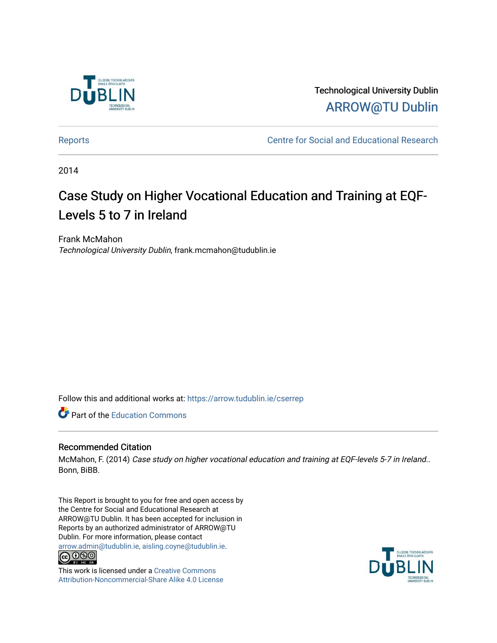

Technological University Dublin [ARROW@TU Dublin](https://arrow.tudublin.ie/) 

[Reports](https://arrow.tudublin.ie/cserrep) **Centre for Social and Educational Research** 

2014

## Case Study on Higher Vocational Education and Training at EQF-Levels 5 to 7 in Ireland

Frank McMahon Technological University Dublin, frank.mcmahon@tudublin.ie

Follow this and additional works at: [https://arrow.tudublin.ie/cserrep](https://arrow.tudublin.ie/cserrep?utm_source=arrow.tudublin.ie%2Fcserrep%2F56&utm_medium=PDF&utm_campaign=PDFCoverPages)

**P** Part of the [Education Commons](http://network.bepress.com/hgg/discipline/784?utm_source=arrow.tudublin.ie%2Fcserrep%2F56&utm_medium=PDF&utm_campaign=PDFCoverPages)

#### Recommended Citation

McMahon, F. (2014) Case study on higher vocational education and training at EQF-levels 5-7 in Ireland.. Bonn, BiBB.

This Report is brought to you for free and open access by the Centre for Social and Educational Research at ARROW@TU Dublin. It has been accepted for inclusion in Reports by an authorized administrator of ARROW@TU Dublin. For more information, please contact [arrow.admin@tudublin.ie, aisling.coyne@tudublin.ie](mailto:arrow.admin@tudublin.ie,%20aisling.coyne@tudublin.ie).<br>
co 000



This work is licensed under a [Creative Commons](http://creativecommons.org/licenses/by-nc-sa/4.0/) [Attribution-Noncommercial-Share Alike 4.0 License](http://creativecommons.org/licenses/by-nc-sa/4.0/)

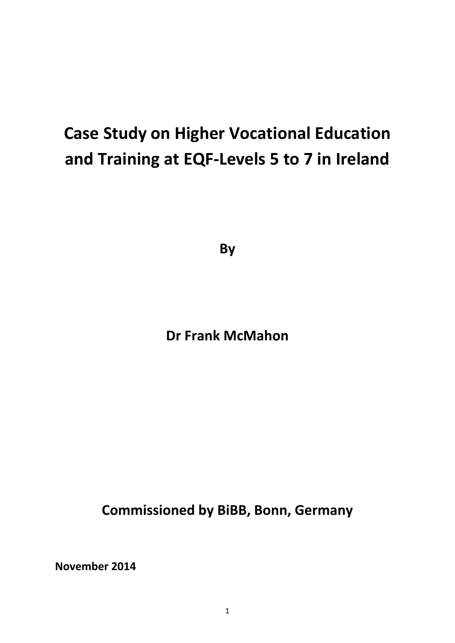# **Case Study on Higher Vocational Education and Training at EQF‐Levels 5 to 7 in Ireland**

**By**

### **Dr Frank McMahon**

**Commissioned by BiBB, Bonn, Germany**

**November 2014**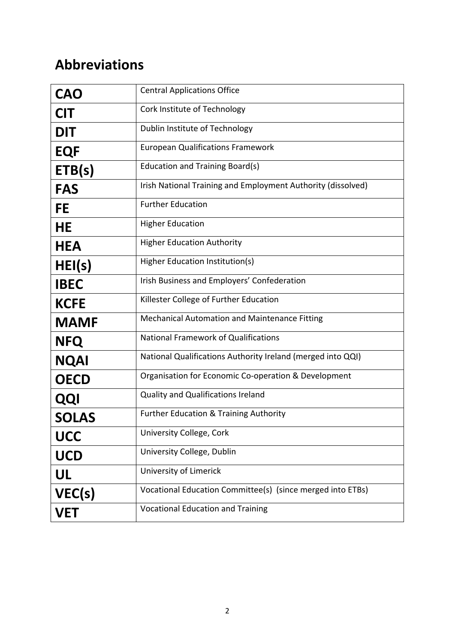## **Abbreviations**

|              | <b>Central Applications Office</b>                           |
|--------------|--------------------------------------------------------------|
| <b>CAO</b>   |                                                              |
| <b>CIT</b>   | Cork Institute of Technology                                 |
| DIT          | Dublin Institute of Technology                               |
| <b>EQF</b>   | <b>European Qualifications Framework</b>                     |
| ETB(s)       | <b>Education and Training Board(s)</b>                       |
| <b>FAS</b>   | Irish National Training and Employment Authority (dissolved) |
| FE           | <b>Further Education</b>                                     |
| HE           | <b>Higher Education</b>                                      |
| <b>HEA</b>   | <b>Higher Education Authority</b>                            |
| HEI(s)       | Higher Education Institution(s)                              |
| <b>IBEC</b>  | Irish Business and Employers' Confederation                  |
| <b>KCFE</b>  | Killester College of Further Education                       |
| <b>MAMF</b>  | <b>Mechanical Automation and Maintenance Fitting</b>         |
| <b>NFQ</b>   | <b>National Framework of Qualifications</b>                  |
| <b>NQAI</b>  | National Qualifications Authority Ireland (merged into QQI)  |
| <b>OECD</b>  | Organisation for Economic Co-operation & Development         |
| QQI          | <b>Quality and Qualifications Ireland</b>                    |
| <b>SOLAS</b> | Further Education & Training Authority                       |
| <b>UCC</b>   | University College, Cork                                     |
| <b>UCD</b>   | University College, Dublin                                   |
| UL           | University of Limerick                                       |
| VEC(s)       | Vocational Education Committee(s) (since merged into ETBs)   |
| <b>VET</b>   | <b>Vocational Education and Training</b>                     |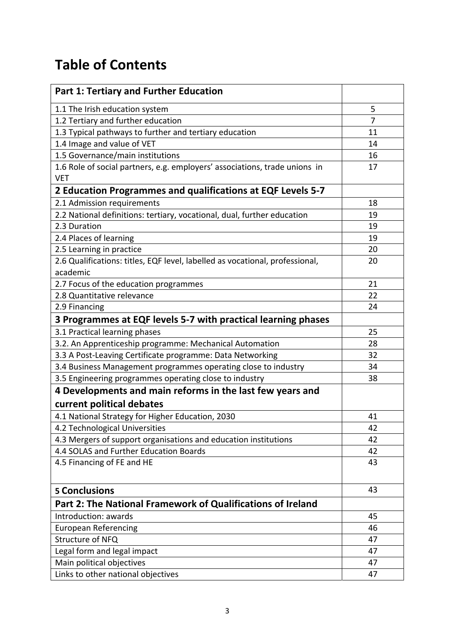## **Table of Contents**

| <b>Part 1: Tertiary and Further Education</b>                                |    |
|------------------------------------------------------------------------------|----|
| 1.1 The Irish education system                                               | 5  |
| 1.2 Tertiary and further education                                           | 7  |
| 1.3 Typical pathways to further and tertiary education                       | 11 |
| 1.4 Image and value of VET                                                   | 14 |
| 1.5 Governance/main institutions                                             | 16 |
| 1.6 Role of social partners, e.g. employers' associations, trade unions in   | 17 |
| <b>VET</b>                                                                   |    |
| 2 Education Programmes and qualifications at EQF Levels 5-7                  |    |
| 2.1 Admission requirements                                                   | 18 |
| 2.2 National definitions: tertiary, vocational, dual, further education      | 19 |
| 2.3 Duration                                                                 | 19 |
| 2.4 Places of learning                                                       | 19 |
| 2.5 Learning in practice                                                     | 20 |
| 2.6 Qualifications: titles, EQF level, labelled as vocational, professional, | 20 |
| academic                                                                     |    |
| 2.7 Focus of the education programmes                                        | 21 |
| 2.8 Quantitative relevance                                                   | 22 |
| 2.9 Financing                                                                | 24 |
| 3 Programmes at EQF levels 5-7 with practical learning phases                |    |
| 3.1 Practical learning phases                                                | 25 |
| 3.2. An Apprenticeship programme: Mechanical Automation                      | 28 |
| 3.3 A Post-Leaving Certificate programme: Data Networking                    | 32 |
| 3.4 Business Management programmes operating close to industry               | 34 |
| 3.5 Engineering programmes operating close to industry                       | 38 |
| 4 Developments and main reforms in the last few years and                    |    |
| current political debates                                                    |    |
| 4.1 National Strategy for Higher Education, 2030                             | 41 |
| 4.2 Technological Universities                                               | 42 |
| 4.3 Mergers of support organisations and education institutions              | 42 |
| 4.4 SOLAS and Further Education Boards                                       | 42 |
| 4.5 Financing of FE and HE                                                   | 43 |
| <b>5 Conclusions</b>                                                         | 43 |
| Part 2: The National Framework of Qualifications of Ireland                  |    |
| Introduction: awards                                                         | 45 |
| <b>European Referencing</b>                                                  | 46 |
| Structure of NFQ                                                             | 47 |
| Legal form and legal impact                                                  | 47 |
| Main political objectives                                                    | 47 |
| Links to other national objectives                                           | 47 |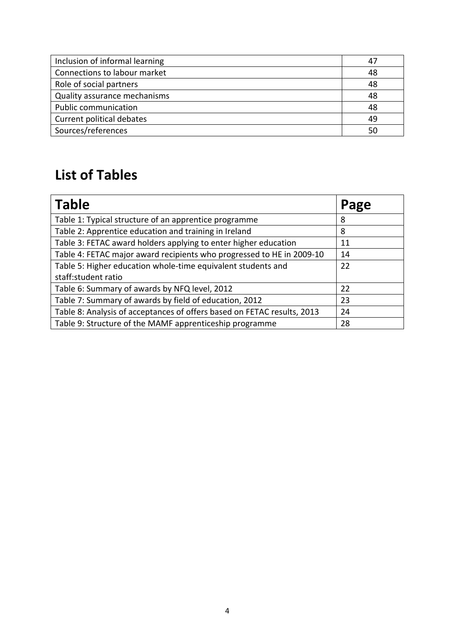| Inclusion of informal learning | 47 |
|--------------------------------|----|
| Connections to labour market   | 48 |
| Role of social partners        | 48 |
| Quality assurance mechanisms   | 48 |
| <b>Public communication</b>    | 48 |
| Current political debates      | 49 |
| Sources/references             | 50 |

## **List of Tables**

| <b>Table</b>                                                            | Page |
|-------------------------------------------------------------------------|------|
| Table 1: Typical structure of an apprentice programme                   | 8    |
| Table 2: Apprentice education and training in Ireland                   | 8    |
| Table 3: FETAC award holders applying to enter higher education         | 11   |
| Table 4: FETAC major award recipients who progressed to HE in 2009-10   | 14   |
| Table 5: Higher education whole-time equivalent students and            | 22   |
| staff:student ratio                                                     |      |
| Table 6: Summary of awards by NFQ level, 2012                           | 22   |
| Table 7: Summary of awards by field of education, 2012                  | 23   |
| Table 8: Analysis of acceptances of offers based on FETAC results, 2013 | 24   |
| Table 9: Structure of the MAMF apprenticeship programme                 | 28   |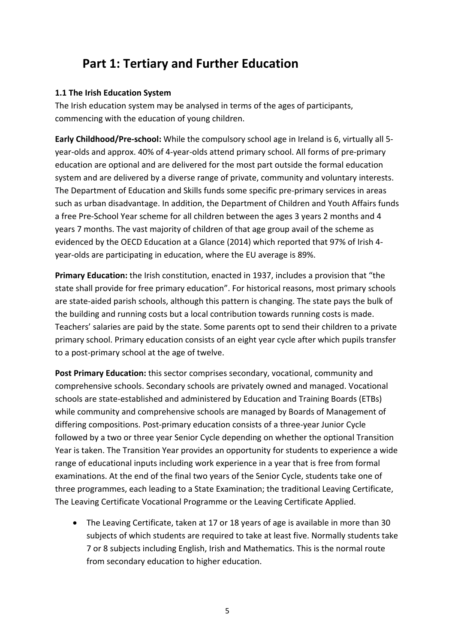### **Part 1: Tertiary and Further Education**

#### **1.1 The Irish Education System**

The Irish education system may be analysed in terms of the ages of participants, commencing with the education of young children.

**Early Childhood/Pre‐school:** While the compulsory school age in Ireland is 6, virtually all 5‐ year‐olds and approx. 40% of 4‐year‐olds attend primary school. All forms of pre‐primary education are optional and are delivered for the most part outside the formal education system and are delivered by a diverse range of private, community and voluntary interests. The Department of Education and Skills funds some specific pre-primary services in areas such as urban disadvantage. In addition, the Department of Children and Youth Affairs funds a free Pre‐School Year scheme for all children between the ages 3 years 2 months and 4 years 7 months. The vast majority of children of that age group avail of the scheme as evidenced by the OECD Education at a Glance (2014) which reported that 97% of Irish 4‐ year‐olds are participating in education, where the EU average is 89%.

**Primary Education:** the Irish constitution, enacted in 1937, includes a provision that "the state shall provide for free primary education". For historical reasons, most primary schools are state-aided parish schools, although this pattern is changing. The state pays the bulk of the building and running costs but a local contribution towards running costs is made. Teachers' salaries are paid by the state. Some parents opt to send their children to a private primary school. Primary education consists of an eight year cycle after which pupils transfer to a post‐primary school at the age of twelve.

**Post Primary Education:** this sector comprises secondary, vocational, community and comprehensive schools. Secondary schools are privately owned and managed. Vocational schools are state‐established and administered by Education and Training Boards (ETBs) while community and comprehensive schools are managed by Boards of Management of differing compositions. Post‐primary education consists of a three‐year Junior Cycle followed by a two or three year Senior Cycle depending on whether the optional Transition Year is taken. The Transition Year provides an opportunity for students to experience a wide range of educational inputs including work experience in a year that is free from formal examinations. At the end of the final two years of the Senior Cycle, students take one of three programmes, each leading to a State Examination; the traditional Leaving Certificate, The Leaving Certificate Vocational Programme or the Leaving Certificate Applied.

 The Leaving Certificate, taken at 17 or 18 years of age is available in more than 30 subjects of which students are required to take at least five. Normally students take 7 or 8 subjects including English, Irish and Mathematics. This is the normal route from secondary education to higher education.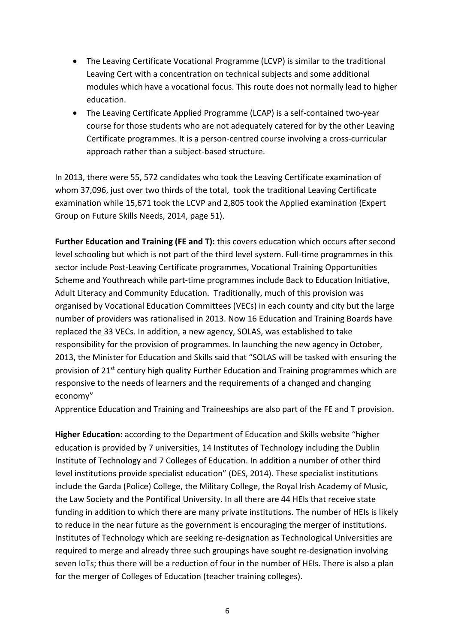- The Leaving Certificate Vocational Programme (LCVP) is similar to the traditional Leaving Cert with a concentration on technical subjects and some additional modules which have a vocational focus. This route does not normally lead to higher education.
- The Leaving Certificate Applied Programme (LCAP) is a self‐contained two‐year course for those students who are not adequately catered for by the other Leaving Certificate programmes. It is a person‐centred course involving a cross‐curricular approach rather than a subject‐based structure.

In 2013, there were 55, 572 candidates who took the Leaving Certificate examination of whom 37,096, just over two thirds of the total, took the traditional Leaving Certificate examination while 15,671 took the LCVP and 2,805 took the Applied examination (Expert Group on Future Skills Needs, 2014, page 51).

**Further Education and Training (FE and T):** this covers education which occurs after second level schooling but which is not part of the third level system. Full-time programmes in this sector include Post-Leaving Certificate programmes, Vocational Training Opportunities Scheme and Youthreach while part‐time programmes include Back to Education Initiative, Adult Literacy and Community Education. Traditionally, much of this provision was organised by Vocational Education Committees (VECs) in each county and city but the large number of providers was rationalised in 2013. Now 16 Education and Training Boards have replaced the 33 VECs. In addition, a new agency, SOLAS, was established to take responsibility for the provision of programmes. In launching the new agency in October, 2013, the Minister for Education and Skills said that "SOLAS will be tasked with ensuring the provision of 21<sup>st</sup> century high quality Further Education and Training programmes which are responsive to the needs of learners and the requirements of a changed and changing economy"

Apprentice Education and Training and Traineeships are also part of the FE and T provision.

**Higher Education:** according to the Department of Education and Skills website "higher education is provided by 7 universities, 14 Institutes of Technology including the Dublin Institute of Technology and 7 Colleges of Education. In addition a number of other third level institutions provide specialist education" (DES, 2014). These specialist institutions include the Garda (Police) College, the Military College, the Royal Irish Academy of Music, the Law Society and the Pontifical University. In all there are 44 HEIs that receive state funding in addition to which there are many private institutions. The number of HEIs is likely to reduce in the near future as the government is encouraging the merger of institutions. Institutes of Technology which are seeking re‐designation as Technological Universities are required to merge and already three such groupings have sought re‐designation involving seven IoTs; thus there will be a reduction of four in the number of HEIs. There is also a plan for the merger of Colleges of Education (teacher training colleges).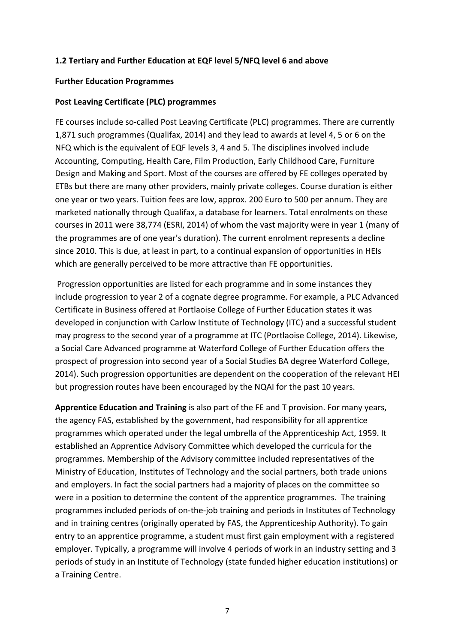#### **1.2 Tertiary and Further Education at EQF level 5/NFQ level 6 and above**

#### **Further Education Programmes**

#### **Post Leaving Certificate (PLC) programmes**

FE courses include so-called Post Leaving Certificate (PLC) programmes. There are currently 1,871 such programmes (Qualifax, 2014) and they lead to awards at level 4, 5 or 6 on the NFQ which is the equivalent of EQF levels 3, 4 and 5. The disciplines involved include Accounting, Computing, Health Care, Film Production, Early Childhood Care, Furniture Design and Making and Sport. Most of the courses are offered by FE colleges operated by ETBs but there are many other providers, mainly private colleges. Course duration is either one year or two years. Tuition fees are low, approx. 200 Euro to 500 per annum. They are marketed nationally through Qualifax, a database for learners. Total enrolments on these courses in 2011 were 38,774 (ESRI, 2014) of whom the vast majority were in year 1 (many of the programmes are of one year's duration). The current enrolment represents a decline since 2010. This is due, at least in part, to a continual expansion of opportunities in HEIs which are generally perceived to be more attractive than FE opportunities.

Progression opportunities are listed for each programme and in some instances they include progression to year 2 of a cognate degree programme. For example, a PLC Advanced Certificate in Business offered at Portlaoise College of Further Education states it was developed in conjunction with Carlow Institute of Technology (ITC) and a successful student may progress to the second year of a programme at ITC (Portlaoise College, 2014). Likewise, a Social Care Advanced programme at Waterford College of Further Education offers the prospect of progression into second year of a Social Studies BA degree Waterford College, 2014). Such progression opportunities are dependent on the cooperation of the relevant HEI but progression routes have been encouraged by the NQAI for the past 10 years.

**Apprentice Education and Training** is also part of the FE and T provision. For many years, the agency FAS, established by the government, had responsibility for all apprentice programmes which operated under the legal umbrella of the Apprenticeship Act, 1959. It established an Apprentice Advisory Committee which developed the curricula for the programmes. Membership of the Advisory committee included representatives of the Ministry of Education, Institutes of Technology and the social partners, both trade unions and employers. In fact the social partners had a majority of places on the committee so were in a position to determine the content of the apprentice programmes. The training programmes included periods of on‐the‐job training and periods in Institutes of Technology and in training centres (originally operated by FAS, the Apprenticeship Authority). To gain entry to an apprentice programme, a student must first gain employment with a registered employer. Typically, a programme will involve 4 periods of work in an industry setting and 3 periods of study in an Institute of Technology (state funded higher education institutions) or a Training Centre.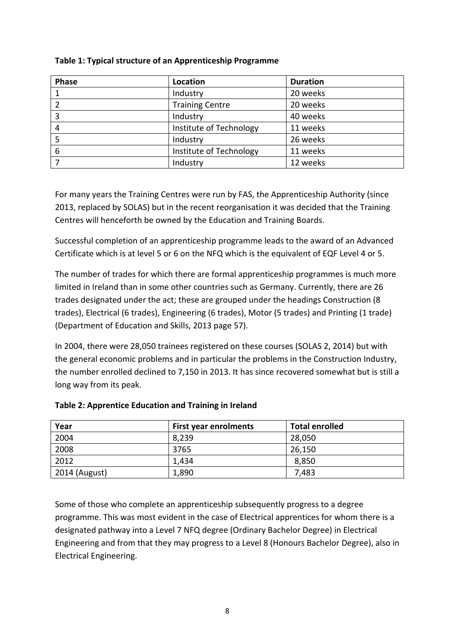#### **Table 1: Typical structure of an Apprenticeship Programme**

| <b>Phase</b> | Location                | <b>Duration</b> |  |
|--------------|-------------------------|-----------------|--|
|              | Industry                | 20 weeks        |  |
|              | <b>Training Centre</b>  | 20 weeks        |  |
| 3            | Industry                | 40 weeks        |  |
| 4            | Institute of Technology | 11 weeks        |  |
|              | Industry                | 26 weeks        |  |
| 6            | Institute of Technology | 11 weeks        |  |
|              | Industry                | 12 weeks        |  |

For many years the Training Centres were run by FAS, the Apprenticeship Authority (since 2013, replaced by SOLAS) but in the recent reorganisation it was decided that the Training Centres will henceforth be owned by the Education and Training Boards.

Successful completion of an apprenticeship programme leads to the award of an Advanced Certificate which is at level 5 or 6 on the NFQ which is the equivalent of EQF Level 4 or 5.

The number of trades for which there are formal apprenticeship programmes is much more limited in Ireland than in some other countries such as Germany. Currently, there are 26 trades designated under the act; these are grouped under the headings Construction (8 trades), Electrical (6 trades), Engineering (6 trades), Motor (5 trades) and Printing (1 trade) (Department of Education and Skills, 2013 page 57).

In 2004, there were 28,050 trainees registered on these courses (SOLAS 2, 2014) but with the general economic problems and in particular the problems in the Construction Industry, the number enrolled declined to 7,150 in 2013. It has since recovered somewhat but is still a long way from its peak.

| Year          | <b>First year enrolments</b> | <b>Total enrolled</b> |
|---------------|------------------------------|-----------------------|
| 2004          | 8,239                        | 28,050                |
| 2008          | 3765                         | 26,150                |
| 2012          | 1,434                        | 8,850                 |
| 2014 (August) | 1,890                        | 7,483                 |

#### **Table 2: Apprentice Education and Training in Ireland**

Some of those who complete an apprenticeship subsequently progress to a degree programme. This was most evident in the case of Electrical apprentices for whom there is a designated pathway into a Level 7 NFQ degree (Ordinary Bachelor Degree) in Electrical Engineering and from that they may progress to a Level 8 (Honours Bachelor Degree), also in Electrical Engineering.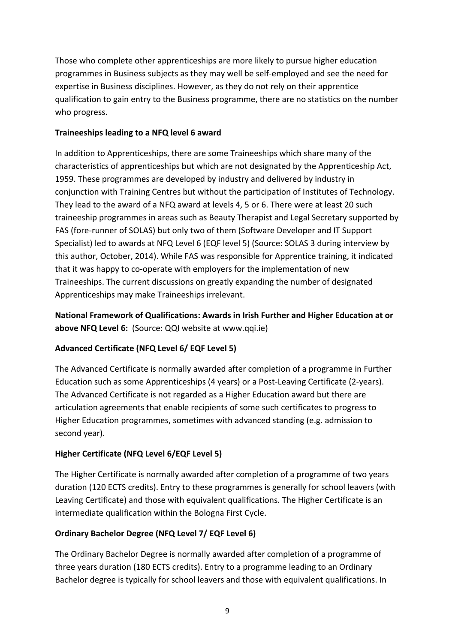Those who complete other apprenticeships are more likely to pursue higher education programmes in Business subjects as they may well be self‐employed and see the need for expertise in Business disciplines. However, as they do not rely on their apprentice qualification to gain entry to the Business programme, there are no statistics on the number who progress.

#### **Traineeships leading to a NFQ level 6 award**

In addition to Apprenticeships, there are some Traineeships which share many of the characteristics of apprenticeships but which are not designated by the Apprenticeship Act, 1959. These programmes are developed by industry and delivered by industry in conjunction with Training Centres but without the participation of Institutes of Technology. They lead to the award of a NFQ award at levels 4, 5 or 6. There were at least 20 such traineeship programmes in areas such as Beauty Therapist and Legal Secretary supported by FAS (fore-runner of SOLAS) but only two of them (Software Developer and IT Support Specialist) led to awards at NFQ Level 6 (EQF level 5) (Source: SOLAS 3 during interview by this author, October, 2014). While FAS was responsible for Apprentice training, it indicated that it was happy to co-operate with employers for the implementation of new Traineeships. The current discussions on greatly expanding the number of designated Apprenticeships may make Traineeships irrelevant.

**National Framework of Qualifications: Awards in Irish Further and Higher Education at or above NFQ Level 6:** (Source: QQI website at www.qqi.ie)

#### **Advanced Certificate (NFQ Level 6/ EQF Level 5)**

The Advanced Certificate is normally awarded after completion of a programme in Further Education such as some Apprenticeships (4 years) or a Post‐Leaving Certificate (2‐years). The Advanced Certificate is not regarded as a Higher Education award but there are articulation agreements that enable recipients of some such certificates to progress to Higher Education programmes, sometimes with advanced standing (e.g. admission to second year).

#### **Higher Certificate (NFQ Level 6/EQF Level 5)**

The Higher Certificate is normally awarded after completion of a programme of two years duration (120 ECTS credits). Entry to these programmes is generally for school leavers (with Leaving Certificate) and those with equivalent qualifications. The Higher Certificate is an intermediate qualification within the Bologna First Cycle.

#### **Ordinary Bachelor Degree (NFQ Level 7/ EQF Level 6)**

The Ordinary Bachelor Degree is normally awarded after completion of a programme of three years duration (180 ECTS credits). Entry to a programme leading to an Ordinary Bachelor degree is typically for school leavers and those with equivalent qualifications. In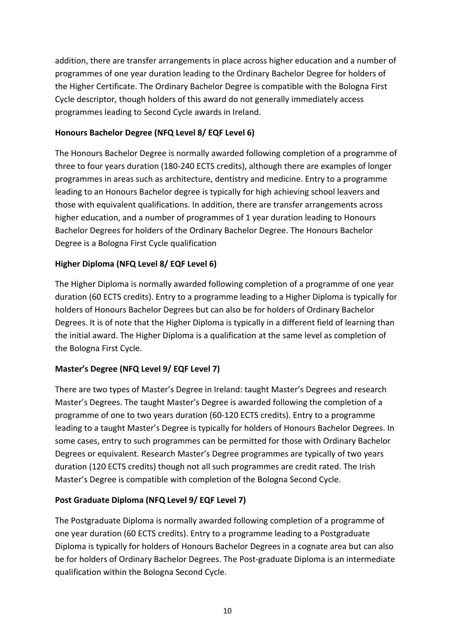addition, there are transfer arrangements in place across higher education and a number of programmes of one year duration leading to the Ordinary Bachelor Degree for holders of the Higher Certificate. The Ordinary Bachelor Degree is compatible with the Bologna First Cycle descriptor, though holders of this award do not generally immediately access programmes leading to Second Cycle awards in Ireland.

#### **Honours Bachelor Degree (NFQ Level 8/ EQF Level 6)**

The Honours Bachelor Degree is normally awarded following completion of a programme of three to four years duration (180‐240 ECTS credits), although there are examples of longer programmes in areas such as architecture, dentistry and medicine. Entry to a programme leading to an Honours Bachelor degree is typically for high achieving school leavers and those with equivalent qualifications. In addition, there are transfer arrangements across higher education, and a number of programmes of 1 year duration leading to Honours Bachelor Degrees for holders of the Ordinary Bachelor Degree. The Honours Bachelor Degree is a Bologna First Cycle qualification

#### **Higher Diploma (NFQ Level 8/ EQF Level 6)**

The Higher Diploma is normally awarded following completion of a programme of one year duration (60 ECTS credits). Entry to a programme leading to a Higher Diploma is typically for holders of Honours Bachelor Degrees but can also be for holders of Ordinary Bachelor Degrees. It is of note that the Higher Diploma is typically in a different field of learning than the initial award. The Higher Diploma is a qualification at the same level as completion of the Bologna First Cycle.

#### **Master's Degree (NFQ Level 9/ EQF Level 7)**

There are two types of Master's Degree in Ireland: taught Master's Degrees and research Master's Degrees. The taught Master's Degree is awarded following the completion of a programme of one to two years duration (60‐120 ECTS credits). Entry to a programme leading to a taught Master's Degree is typically for holders of Honours Bachelor Degrees. In some cases, entry to such programmes can be permitted for those with Ordinary Bachelor Degrees or equivalent. Research Master's Degree programmes are typically of two years duration (120 ECTS credits) though not all such programmes are credit rated. The Irish Master's Degree is compatible with completion of the Bologna Second Cycle.

#### **Post Graduate Diploma (NFQ Level 9/ EQF Level 7)**

The Postgraduate Diploma is normally awarded following completion of a programme of one year duration (60 ECTS credits). Entry to a programme leading to a Postgraduate Diploma is typically for holders of Honours Bachelor Degrees in a cognate area but can also be for holders of Ordinary Bachelor Degrees. The Post-graduate Diploma is an intermediate qualification within the Bologna Second Cycle.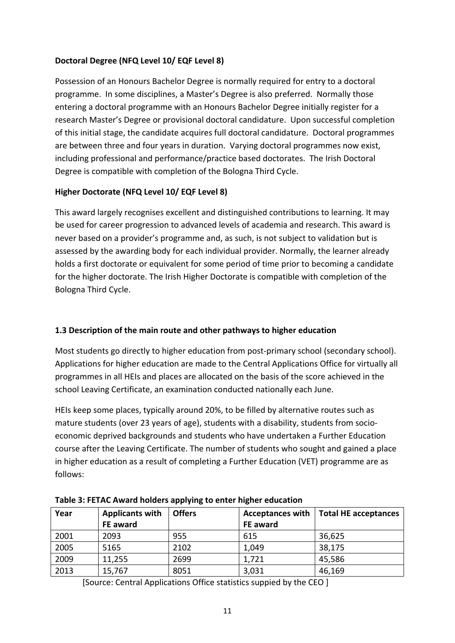#### **Doctoral Degree (NFQ Level 10/ EQF Level 8)**

Possession of an Honours Bachelor Degree is normally required for entry to a doctoral programme. In some disciplines, a Master's Degree is also preferred. Normally those entering a doctoral programme with an Honours Bachelor Degree initially register for a research Master's Degree or provisional doctoral candidature. Upon successful completion of this initial stage, the candidate acquires full doctoral candidature. Doctoral programmes are between three and four years in duration. Varying doctoral programmes now exist, including professional and performance/practice based doctorates. The Irish Doctoral Degree is compatible with completion of the Bologna Third Cycle.

#### **Higher Doctorate (NFQ Level 10/ EQF Level 8)**

This award largely recognises excellent and distinguished contributions to learning. It may be used for career progression to advanced levels of academia and research. This award is never based on a provider's programme and, as such, is not subject to validation but is assessed by the awarding body for each individual provider. Normally, the learner already holds a first doctorate or equivalent for some period of time prior to becoming a candidate for the higher doctorate. The Irish Higher Doctorate is compatible with completion of the Bologna Third Cycle.

#### **1.3 Description of the main route and other pathways to higher education**

Most students go directly to higher education from post-primary school (secondary school). Applications for higher education are made to the Central Applications Office for virtually all programmes in all HEIs and places are allocated on the basis of the score achieved in the school Leaving Certificate, an examination conducted nationally each June.

HEIs keep some places, typically around 20%, to be filled by alternative routes such as mature students (over 23 years of age), students with a disability, students from socio‐ economic deprived backgrounds and students who have undertaken a Further Education course after the Leaving Certificate. The number of students who sought and gained a place in higher education as a result of completing a Further Education (VET) programme are as follows:

| Year | <b>Applicants with</b> | <b>Offers</b> | <b>Acceptances with</b> | Total HE acceptances |
|------|------------------------|---------------|-------------------------|----------------------|
|      | FE award               |               | FE award                |                      |
| 2001 | 2093                   | 955           | 615                     | 36,625               |
| 2005 | 5165                   | 2102          | 1,049                   | 38,175               |
| 2009 | 11,255                 | 2699          | 1,721                   | 45,586               |
| 2013 | 15,767                 | 8051          | 3,031                   | 46,169               |

[Source: Central Applications Office statistics suppied by the CEO ]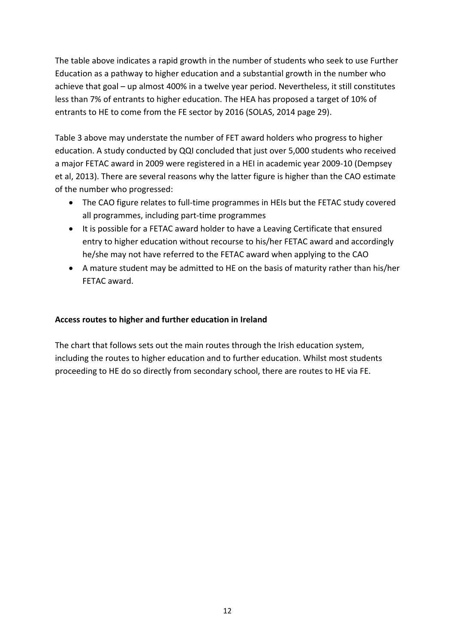The table above indicates a rapid growth in the number of students who seek to use Further Education as a pathway to higher education and a substantial growth in the number who achieve that goal – up almost 400% in a twelve year period. Nevertheless, it still constitutes less than 7% of entrants to higher education. The HEA has proposed a target of 10% of entrants to HE to come from the FE sector by 2016 (SOLAS, 2014 page 29).

Table 3 above may understate the number of FET award holders who progress to higher education. A study conducted by QQI concluded that just over 5,000 students who received a major FETAC award in 2009 were registered in a HEI in academic year 2009‐10 (Dempsey et al, 2013). There are several reasons why the latter figure is higher than the CAO estimate of the number who progressed:

- The CAO figure relates to full‐time programmes in HEIs but the FETAC study covered all programmes, including part‐time programmes
- It is possible for a FETAC award holder to have a Leaving Certificate that ensured entry to higher education without recourse to his/her FETAC award and accordingly he/she may not have referred to the FETAC award when applying to the CAO
- A mature student may be admitted to HE on the basis of maturity rather than his/her FETAC award.

#### **Access routes to higher and further education in Ireland**

The chart that follows sets out the main routes through the Irish education system, including the routes to higher education and to further education. Whilst most students proceeding to HE do so directly from secondary school, there are routes to HE via FE.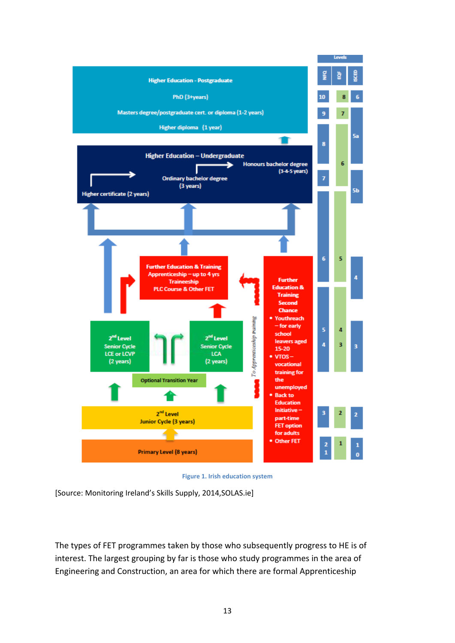

**Figure 1. Irish education system**

[Source: Monitoring Ireland's Skills Supply, 2014,SOLAS.ie]

The types of FET programmes taken by those who subsequently progress to HE is of interest. The largest grouping by far is those who study programmes in the area of Engineering and Construction, an area for which there are formal Apprenticeship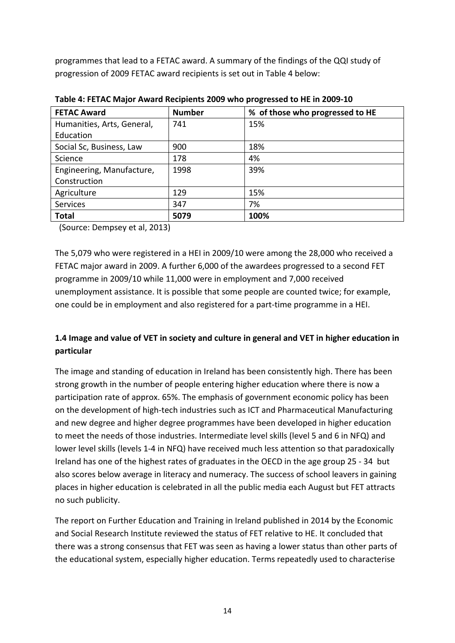programmes that lead to a FETAC award. A summary of the findings of the QQI study of progression of 2009 FETAC award recipients is set out in Table 4 below:

| <b>FETAC Award</b>         | <b>Number</b> | % of those who progressed to HE |
|----------------------------|---------------|---------------------------------|
| Humanities, Arts, General, | 741           | 15%                             |
| Education                  |               |                                 |
| Social Sc, Business, Law   | 900           | 18%                             |
| Science                    | 178           | 4%                              |
| Engineering, Manufacture,  | 1998          | 39%                             |
| Construction               |               |                                 |
| Agriculture                | 129           | 15%                             |
| <b>Services</b>            | 347           | 7%                              |
| <b>Total</b>               | 5079          | 100%                            |

**Table 4: FETAC Major Award Recipients 2009 who progressed to HE in 2009‐10**

(Source: Dempsey et al, 2013)

The 5,079 who were registered in a HEI in 2009/10 were among the 28,000 who received a FETAC major award in 2009. A further 6,000 of the awardees progressed to a second FET programme in 2009/10 while 11,000 were in employment and 7,000 received unemployment assistance. It is possible that some people are counted twice; for example, one could be in employment and also registered for a part‐time programme in a HEI.

#### **1.4 Image and value of VET in society and culture in general and VET in higher education in particular**

The image and standing of education in Ireland has been consistently high. There has been strong growth in the number of people entering higher education where there is now a participation rate of approx. 65%. The emphasis of government economic policy has been on the development of high‐tech industries such as ICT and Pharmaceutical Manufacturing and new degree and higher degree programmes have been developed in higher education to meet the needs of those industries. Intermediate level skills (level 5 and 6 in NFQ) and lower level skills (levels 1‐4 in NFQ) have received much less attention so that paradoxically Ireland has one of the highest rates of graduates in the OECD in the age group 25 ‐ 34 but also scores below average in literacy and numeracy. The success of school leavers in gaining places in higher education is celebrated in all the public media each August but FET attracts no such publicity.

The report on Further Education and Training in Ireland published in 2014 by the Economic and Social Research Institute reviewed the status of FET relative to HE. It concluded that there was a strong consensus that FET was seen as having a lower status than other parts of the educational system, especially higher education. Terms repeatedly used to characterise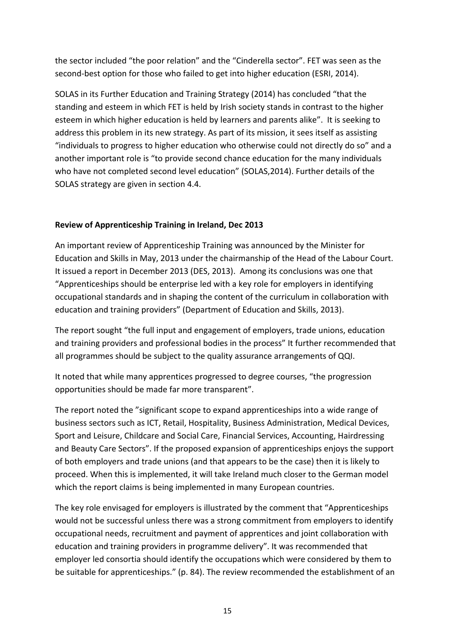the sector included "the poor relation" and the "Cinderella sector". FET was seen as the second-best option for those who failed to get into higher education (ESRI, 2014).

SOLAS in its Further Education and Training Strategy (2014) has concluded "that the standing and esteem in which FET is held by Irish society stands in contrast to the higher esteem in which higher education is held by learners and parents alike". It is seeking to address this problem in its new strategy. As part of its mission, it sees itself as assisting "individuals to progress to higher education who otherwise could not directly do so" and a another important role is "to provide second chance education for the many individuals who have not completed second level education" (SOLAS,2014). Further details of the SOLAS strategy are given in section 4.4.

#### **Review of Apprenticeship Training in Ireland, Dec 2013**

An important review of Apprenticeship Training was announced by the Minister for Education and Skills in May, 2013 under the chairmanship of the Head of the Labour Court. It issued a report in December 2013 (DES, 2013). Among its conclusions was one that "Apprenticeships should be enterprise led with a key role for employers in identifying occupational standards and in shaping the content of the curriculum in collaboration with education and training providers" (Department of Education and Skills, 2013).

The report sought "the full input and engagement of employers, trade unions, education and training providers and professional bodies in the process" It further recommended that all programmes should be subject to the quality assurance arrangements of QQI.

It noted that while many apprentices progressed to degree courses, "the progression opportunities should be made far more transparent".

The report noted the "significant scope to expand apprenticeships into a wide range of business sectors such as ICT, Retail, Hospitality, Business Administration, Medical Devices, Sport and Leisure, Childcare and Social Care, Financial Services, Accounting, Hairdressing and Beauty Care Sectors". If the proposed expansion of apprenticeships enjoys the support of both employers and trade unions (and that appears to be the case) then it is likely to proceed. When this is implemented, it will take Ireland much closer to the German model which the report claims is being implemented in many European countries.

The key role envisaged for employers is illustrated by the comment that "Apprenticeships would not be successful unless there was a strong commitment from employers to identify occupational needs, recruitment and payment of apprentices and joint collaboration with education and training providers in programme delivery". It was recommended that employer led consortia should identify the occupations which were considered by them to be suitable for apprenticeships." (p. 84). The review recommended the establishment of an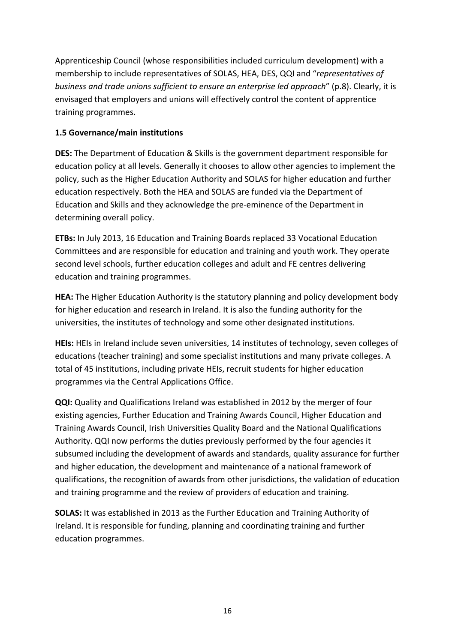Apprenticeship Council (whose responsibilities included curriculum development) with a membership to include representatives of SOLAS, HEA, DES, QQI and "*representatives of business and trade unions sufficient to ensure an enterprise led approach*" (p.8). Clearly, it is envisaged that employers and unions will effectively control the content of apprentice training programmes.

#### **1.5 Governance/main institutions**

**DES:** The Department of Education & Skills is the government department responsible for education policy at all levels. Generally it chooses to allow other agencies to implement the policy, such as the Higher Education Authority and SOLAS for higher education and further education respectively. Both the HEA and SOLAS are funded via the Department of Education and Skills and they acknowledge the pre‐eminence of the Department in determining overall policy.

**ETBs:** In July 2013, 16 Education and Training Boards replaced 33 Vocational Education Committees and are responsible for education and training and youth work. They operate second level schools, further education colleges and adult and FE centres delivering education and training programmes.

**HEA:** The Higher Education Authority is the statutory planning and policy development body for higher education and research in Ireland. It is also the funding authority for the universities, the institutes of technology and some other designated institutions.

**HEIs:** HEIs in Ireland include seven universities, 14 institutes of technology, seven colleges of educations (teacher training) and some specialist institutions and many private colleges. A total of 45 institutions, including private HEIs, recruit students for higher education programmes via the Central Applications Office.

**QQI:** Quality and Qualifications Ireland was established in 2012 by the merger of four existing agencies, Further Education and Training Awards Council, Higher Education and Training Awards Council, Irish Universities Quality Board and the National Qualifications Authority. QQI now performs the duties previously performed by the four agencies it subsumed including the development of awards and standards, quality assurance for further and higher education, the development and maintenance of a national framework of qualifications, the recognition of awards from other jurisdictions, the validation of education and training programme and the review of providers of education and training.

**SOLAS:** It was established in 2013 as the Further Education and Training Authority of Ireland. It is responsible for funding, planning and coordinating training and further education programmes.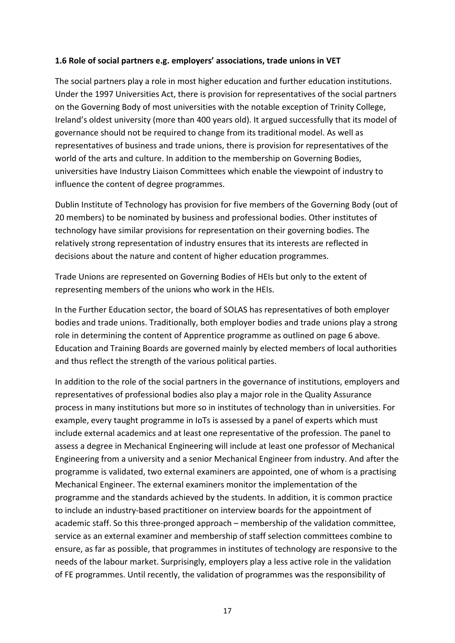#### **1.6 Role of social partners e.g. employers' associations, trade unions in VET**

The social partners play a role in most higher education and further education institutions. Under the 1997 Universities Act, there is provision for representatives of the social partners on the Governing Body of most universities with the notable exception of Trinity College, Ireland's oldest university (more than 400 years old). It argued successfully that its model of governance should not be required to change from its traditional model. As well as representatives of business and trade unions, there is provision for representatives of the world of the arts and culture. In addition to the membership on Governing Bodies, universities have Industry Liaison Committees which enable the viewpoint of industry to influence the content of degree programmes.

Dublin Institute of Technology has provision for five members of the Governing Body (out of 20 members) to be nominated by business and professional bodies. Other institutes of technology have similar provisions for representation on their governing bodies. The relatively strong representation of industry ensures that its interests are reflected in decisions about the nature and content of higher education programmes.

Trade Unions are represented on Governing Bodies of HEIs but only to the extent of representing members of the unions who work in the HEIs.

In the Further Education sector, the board of SOLAS has representatives of both employer bodies and trade unions. Traditionally, both employer bodies and trade unions play a strong role in determining the content of Apprentice programme as outlined on page 6 above. Education and Training Boards are governed mainly by elected members of local authorities and thus reflect the strength of the various political parties.

In addition to the role of the social partners in the governance of institutions, employers and representatives of professional bodies also play a major role in the Quality Assurance process in many institutions but more so in institutes of technology than in universities. For example, every taught programme in IoTs is assessed by a panel of experts which must include external academics and at least one representative of the profession. The panel to assess a degree in Mechanical Engineering will include at least one professor of Mechanical Engineering from a university and a senior Mechanical Engineer from industry. And after the programme is validated, two external examiners are appointed, one of whom is a practising Mechanical Engineer. The external examiners monitor the implementation of the programme and the standards achieved by the students. In addition, it is common practice to include an industry‐based practitioner on interview boards for the appointment of academic staff. So this three‐pronged approach – membership of the validation committee, service as an external examiner and membership of staff selection committees combine to ensure, as far as possible, that programmes in institutes of technology are responsive to the needs of the labour market. Surprisingly, employers play a less active role in the validation of FE programmes. Until recently, the validation of programmes was the responsibility of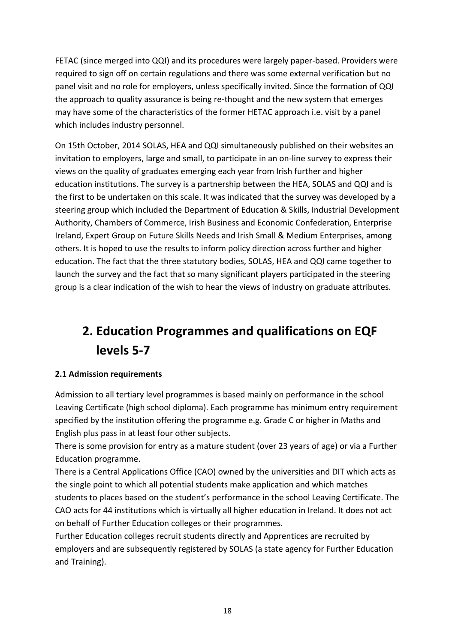FETAC (since merged into QQI) and its procedures were largely paper‐based. Providers were required to sign off on certain regulations and there was some external verification but no panel visit and no role for employers, unless specifically invited. Since the formation of QQI the approach to quality assurance is being re‐thought and the new system that emerges may have some of the characteristics of the former HETAC approach i.e. visit by a panel which includes industry personnel.

On 15th October, 2014 SOLAS, HEA and QQI simultaneously published on their websites an invitation to employers, large and small, to participate in an on‐line survey to express their views on the quality of graduates emerging each year from Irish further and higher education institutions. The survey is a partnership between the HEA, SOLAS and QQI and is the first to be undertaken on this scale. It was indicated that the survey was developed by a steering group which included the Department of Education & Skills, Industrial Development Authority, Chambers of Commerce, Irish Business and Economic Confederation, Enterprise Ireland, Expert Group on Future Skills Needs and Irish Small & Medium Enterprises, among others. It is hoped to use the results to inform policy direction across further and higher education. The fact that the three statutory bodies, SOLAS, HEA and QQI came together to launch the survey and the fact that so many significant players participated in the steering group is a clear indication of the wish to hear the views of industry on graduate attributes.

## **2. Education Programmes and qualifications on EQF levels 5‐7**

#### **2.1 Admission requirements**

Admission to all tertiary level programmes is based mainly on performance in the school Leaving Certificate (high school diploma). Each programme has minimum entry requirement specified by the institution offering the programme e.g. Grade C or higher in Maths and English plus pass in at least four other subjects.

There is some provision for entry as a mature student (over 23 years of age) or via a Further Education programme.

There is a Central Applications Office (CAO) owned by the universities and DIT which acts as the single point to which all potential students make application and which matches students to places based on the student's performance in the school Leaving Certificate. The CAO acts for 44 institutions which is virtually all higher education in Ireland. It does not act on behalf of Further Education colleges or their programmes.

Further Education colleges recruit students directly and Apprentices are recruited by employers and are subsequently registered by SOLAS (a state agency for Further Education and Training).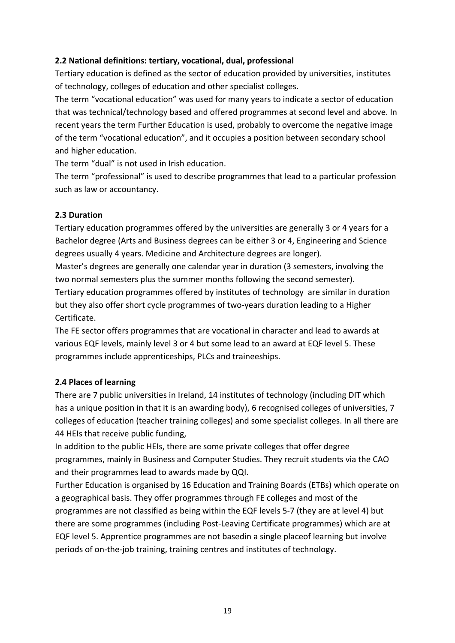#### **2.2 National definitions: tertiary, vocational, dual, professional**

Tertiary education is defined as the sector of education provided by universities, institutes of technology, colleges of education and other specialist colleges.

The term "vocational education" was used for many years to indicate a sector of education that was technical/technology based and offered programmes at second level and above. In recent years the term Further Education is used, probably to overcome the negative image of the term "vocational education", and it occupies a position between secondary school and higher education.

The term "dual" is not used in Irish education.

The term "professional" is used to describe programmes that lead to a particular profession such as law or accountancy.

#### **2.3 Duration**

Tertiary education programmes offered by the universities are generally 3 or 4 years for a Bachelor degree (Arts and Business degrees can be either 3 or 4, Engineering and Science degrees usually 4 years. Medicine and Architecture degrees are longer).

Master's degrees are generally one calendar year in duration (3 semesters, involving the two normal semesters plus the summer months following the second semester). Tertiary education programmes offered by institutes of technology are similar in duration but they also offer short cycle programmes of two‐years duration leading to a Higher Certificate.

The FE sector offers programmes that are vocational in character and lead to awards at various EQF levels, mainly level 3 or 4 but some lead to an award at EQF level 5. These programmes include apprenticeships, PLCs and traineeships.

#### **2.4 Places of learning**

There are 7 public universities in Ireland, 14 institutes of technology (including DIT which has a unique position in that it is an awarding body), 6 recognised colleges of universities, 7 colleges of education (teacher training colleges) and some specialist colleges. In all there are 44 HEIs that receive public funding,

In addition to the public HEIs, there are some private colleges that offer degree programmes, mainly in Business and Computer Studies. They recruit students via the CAO and their programmes lead to awards made by QQI.

Further Education is organised by 16 Education and Training Boards (ETBs) which operate on a geographical basis. They offer programmes through FE colleges and most of the programmes are not classified as being within the EQF levels 5‐7 (they are at level 4) but there are some programmes (including Post‐Leaving Certificate programmes) which are at EQF level 5. Apprentice programmes are not basedin a single placeof learning but involve periods of on‐the‐job training, training centres and institutes of technology.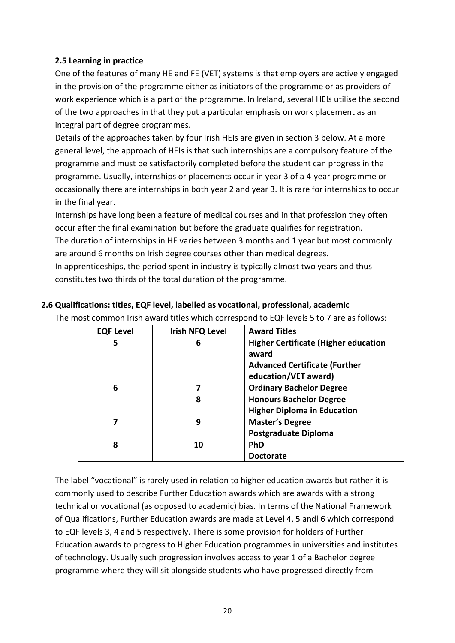#### **2.5 Learning in practice**

One of the features of many HE and FE (VET) systems is that employers are actively engaged in the provision of the programme either as initiators of the programme or as providers of work experience which is a part of the programme. In Ireland, several HEIs utilise the second of the two approaches in that they put a particular emphasis on work placement as an integral part of degree programmes.

Details of the approaches taken by four Irish HEIs are given in section 3 below. At a more general level, the approach of HEIs is that such internships are a compulsory feature of the programme and must be satisfactorily completed before the student can progress in the programme. Usually, internships or placements occur in year 3 of a 4‐year programme or occasionally there are internships in both year 2 and year 3. It is rare for internships to occur in the final year.

Internships have long been a feature of medical courses and in that profession they often occur after the final examination but before the graduate qualifies for registration. The duration of internships in HE varies between 3 months and 1 year but most commonly are around 6 months on Irish degree courses other than medical degrees.

In apprenticeships, the period spent in industry is typically almost two years and thus constitutes two thirds of the total duration of the programme.

| <b>EQF Level</b> | <b>Irish NFQ Level</b> | <b>Award Titles</b>                         |  |
|------------------|------------------------|---------------------------------------------|--|
| 5                | 6                      | <b>Higher Certificate (Higher education</b> |  |
|                  |                        | award                                       |  |
|                  |                        | <b>Advanced Certificate (Further</b>        |  |
|                  |                        | education/VET award)                        |  |
| 6                |                        | <b>Ordinary Bachelor Degree</b>             |  |
|                  | 8                      | <b>Honours Bachelor Degree</b>              |  |
|                  |                        | <b>Higher Diploma in Education</b>          |  |
|                  | 9                      | <b>Master's Degree</b>                      |  |
|                  |                        | <b>Postgraduate Diploma</b>                 |  |
| 8                | 10                     | <b>PhD</b>                                  |  |
|                  |                        | <b>Doctorate</b>                            |  |

#### **2.6 Qualifications: titles, EQF level, labelled as vocational, professional, academic**

The most common Irish award titles which correspond to EQF levels 5 to 7 are as follows:

The label "vocational" is rarely used in relation to higher education awards but rather it is commonly used to describe Further Education awards which are awards with a strong technical or vocational (as opposed to academic) bias. In terms of the National Framework of Qualifications, Further Education awards are made at Level 4, 5 andl 6 which correspond to EQF levels 3, 4 and 5 respectively. There is some provision for holders of Further Education awards to progress to Higher Education programmes in universities and institutes of technology. Usually such progression involves access to year 1 of a Bachelor degree programme where they will sit alongside students who have progressed directly from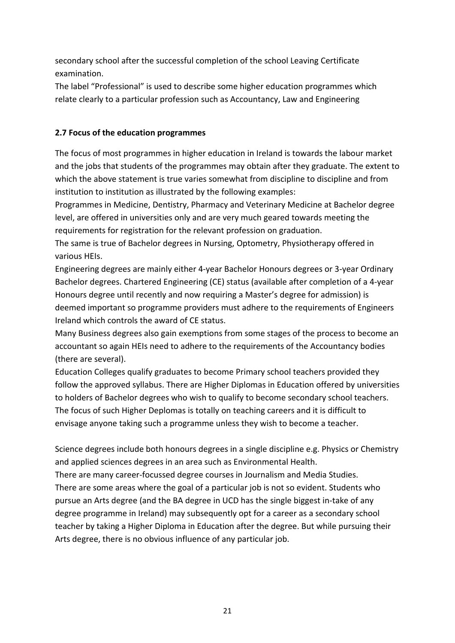secondary school after the successful completion of the school Leaving Certificate examination.

The label "Professional" is used to describe some higher education programmes which relate clearly to a particular profession such as Accountancy, Law and Engineering

#### **2.7 Focus of the education programmes**

The focus of most programmes in higher education in Ireland is towards the labour market and the jobs that students of the programmes may obtain after they graduate. The extent to which the above statement is true varies somewhat from discipline to discipline and from institution to institution as illustrated by the following examples:

Programmes in Medicine, Dentistry, Pharmacy and Veterinary Medicine at Bachelor degree level, are offered in universities only and are very much geared towards meeting the requirements for registration for the relevant profession on graduation.

The same is true of Bachelor degrees in Nursing, Optometry, Physiotherapy offered in various HEIs.

Engineering degrees are mainly either 4‐year Bachelor Honours degrees or 3‐year Ordinary Bachelor degrees. Chartered Engineering (CE) status (available after completion of a 4‐year Honours degree until recently and now requiring a Master's degree for admission) is deemed important so programme providers must adhere to the requirements of Engineers Ireland which controls the award of CE status.

Many Business degrees also gain exemptions from some stages of the process to become an accountant so again HEIs need to adhere to the requirements of the Accountancy bodies (there are several).

Education Colleges qualify graduates to become Primary school teachers provided they follow the approved syllabus. There are Higher Diplomas in Education offered by universities to holders of Bachelor degrees who wish to qualify to become secondary school teachers. The focus of such Higher Deplomas is totally on teaching careers and it is difficult to envisage anyone taking such a programme unless they wish to become a teacher.

Science degrees include both honours degrees in a single discipline e.g. Physics or Chemistry and applied sciences degrees in an area such as Environmental Health.

There are many career‐focussed degree courses in Journalism and Media Studies. There are some areas where the goal of a particular job is not so evident. Students who pursue an Arts degree (and the BA degree in UCD has the single biggest in‐take of any degree programme in Ireland) may subsequently opt for a career as a secondary school teacher by taking a Higher Diploma in Education after the degree. But while pursuing their Arts degree, there is no obvious influence of any particular job.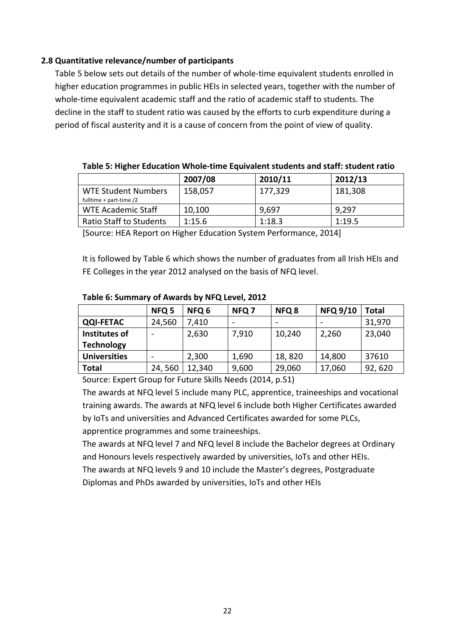#### **2.8 Quantitative relevance/number of participants**

Table 5 below sets out details of the number of whole‐time equivalent students enrolled in higher education programmes in public HEIs in selected years, together with the number of whole-time equivalent academic staff and the ratio of academic staff to students. The decline in the staff to student ratio was caused by the efforts to curb expenditure during a period of fiscal austerity and it is a cause of concern from the point of view of quality.

|                            | 2007/08 | 2010/11 | 2012/13 |
|----------------------------|---------|---------|---------|
| <b>WTE Student Numbers</b> | 158,057 | 177,329 | 181,308 |
| fulltime + part-time /2    |         |         |         |
| WTE Academic Staff         | 10,100  | 9,697   | 9,297   |
| Ratio Staff to Students    | 1:15.6  | 1:18.3  | 1:19.5  |

**Table 5: Higher Education Whole‐time Equivalent students and staff: student ratio**

[Source: HEA Report on Higher Education System Performance, 2014]

It is followed by Table 6 which shows the number of graduates from all Irish HEIs and FE Colleges in the year 2012 analysed on the basis of NFQ level.

#### **Table 6: Summary of Awards by NFQ Level, 2012**

|                     | NFQ <sub>5</sub> | NFQ <sub>6</sub> | NFQ <sub>7</sub> | NFQ <sub>8</sub> | <b>NFQ 9/10</b> | <b>Total</b> |
|---------------------|------------------|------------------|------------------|------------------|-----------------|--------------|
| <b>QQI-FETAC</b>    | 24,560           | 7,410            |                  |                  |                 | 31,970       |
| Institutes of       |                  | 2,630            | 7,910            | 10,240           | 2,260           | 23,040       |
| <b>Technology</b>   |                  |                  |                  |                  |                 |              |
| <b>Universities</b> | $\,$             | 2,300            | 1,690            | 18,820           | 14,800          | 37610        |
| <b>Total</b>        | 24,560           | 12,340           | 9,600            | 29,060           | 17,060          | 92,620       |

Source: Expert Group for Future Skills Needs (2014, p.51)

The awards at NFQ level 5 include many PLC, apprentice, traineeships and vocational training awards. The awards at NFQ level 6 include both Higher Certificates awarded by IoTs and universities and Advanced Certificates awarded for some PLCs, apprentice programmes and some traineeships.

The awards at NFQ level 7 and NFQ level 8 include the Bachelor degrees at Ordinary and Honours levels respectively awarded by universities, IoTs and other HEIs. The awards at NFQ levels 9 and 10 include the Master's degrees, Postgraduate Diplomas and PhDs awarded by universities, IoTs and other HEIs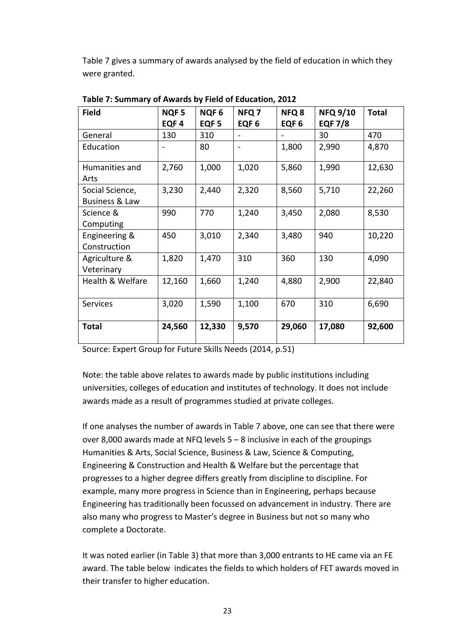Table 7 gives a summary of awards analysed by the field of education in which they were granted.

| <b>Field</b>                      | NQF <sub>5</sub><br>EQF4 | NQF <sub>6</sub><br>EQF <sub>5</sub> | NFQ <sub>7</sub><br>EQF <sub>6</sub> | NFQ <sub>8</sub><br>EQF <sub>6</sub> | <b>NFQ 9/10</b><br><b>EQF 7/8</b> | <b>Total</b> |
|-----------------------------------|--------------------------|--------------------------------------|--------------------------------------|--------------------------------------|-----------------------------------|--------------|
| General                           | 130                      | 310                                  |                                      |                                      | 30                                | 470          |
| Education                         |                          | 80                                   |                                      | 1,800                                | 2,990                             | 4,870        |
| Humanities and<br>Arts            | 2,760                    | 1,000                                | 1,020                                | 5,860                                | 1,990                             | 12,630       |
| Social Science,<br>Business & Law | 3,230                    | 2,440                                | 2,320                                | 8,560                                | 5,710                             | 22,260       |
| Science &<br>Computing            | 990                      | 770                                  | 1,240                                | 3,450                                | 2,080                             | 8,530        |
| Engineering &<br>Construction     | 450                      | 3,010                                | 2,340                                | 3,480                                | 940                               | 10,220       |
| Agriculture &<br>Veterinary       | 1,820                    | 1,470                                | 310                                  | 360                                  | 130                               | 4,090        |
| <b>Health &amp; Welfare</b>       | 12,160                   | 1,660                                | 1,240                                | 4,880                                | 2,900                             | 22,840       |
| <b>Services</b>                   | 3,020                    | 1,590                                | 1,100                                | 670                                  | 310                               | 6,690        |
| <b>Total</b>                      | 24,560                   | 12,330                               | 9,570                                | 29,060                               | 17,080                            | 92,600       |

**Table 7: Summary of Awards by Field of Education, 2012**

Source: Expert Group for Future Skills Needs (2014, p.51)

Note: the table above relates to awards made by public institutions including universities, colleges of education and institutes of technology. It does not include awards made as a result of programmes studied at private colleges.

If one analyses the number of awards in Table 7 above, one can see that there were over 8,000 awards made at NFQ levels 5 – 8 inclusive in each of the groupings Humanities & Arts, Social Science, Business & Law, Science & Computing, Engineering & Construction and Health & Welfare but the percentage that progresses to a higher degree differs greatly from discipline to discipline. For example, many more progress in Science than in Engineering, perhaps because Engineering has traditionally been focussed on advancement in industry. There are also many who progress to Master's degree in Business but not so many who complete a Doctorate.

It was noted earlier (in Table 3) that more than 3,000 entrants to HE came via an FE award. The table below indicates the fields to which holders of FET awards moved in their transfer to higher education.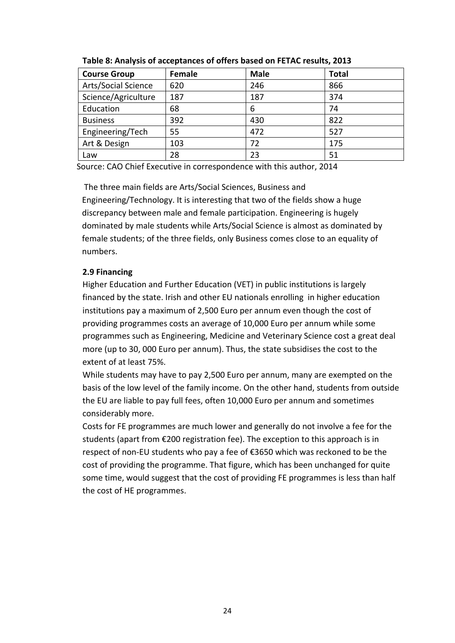| <b>Course Group</b> | Female | <b>Male</b> | <b>Total</b> |
|---------------------|--------|-------------|--------------|
| Arts/Social Science | 620    | 246         | 866          |
| Science/Agriculture | 187    | 187         | 374          |
| Education           | 68     | 6           | 74           |
| <b>Business</b>     | 392    | 430         | 822          |
| Engineering/Tech    | 55     | 472         | 527          |
| Art & Design        | 103    | 72          | 175          |
| Law                 | 28     | 23          | 51           |

**Table 8: Analysis of acceptances of offers based on FETAC results, 2013**

Source: CAO Chief Executive in correspondence with this author, 2014

The three main fields are Arts/Social Sciences, Business and Engineering/Technology. It is interesting that two of the fields show a huge discrepancy between male and female participation. Engineering is hugely dominated by male students while Arts/Social Science is almost as dominated by female students; of the three fields, only Business comes close to an equality of numbers.

#### **2.9 Financing**

Higher Education and Further Education (VET) in public institutions is largely financed by the state. Irish and other EU nationals enrolling in higher education institutions pay a maximum of 2,500 Euro per annum even though the cost of providing programmes costs an average of 10,000 Euro per annum while some programmes such as Engineering, Medicine and Veterinary Science cost a great deal more (up to 30, 000 Euro per annum). Thus, the state subsidises the cost to the extent of at least 75%.

While students may have to pay 2,500 Euro per annum, many are exempted on the basis of the low level of the family income. On the other hand, students from outside the EU are liable to pay full fees, often 10,000 Euro per annum and sometimes considerably more.

Costs for FE programmes are much lower and generally do not involve a fee for the students (apart from €200 registration fee). The exception to this approach is in respect of non‐EU students who pay a fee of €3650 which was reckoned to be the cost of providing the programme. That figure, which has been unchanged for quite some time, would suggest that the cost of providing FE programmes is less than half the cost of HE programmes.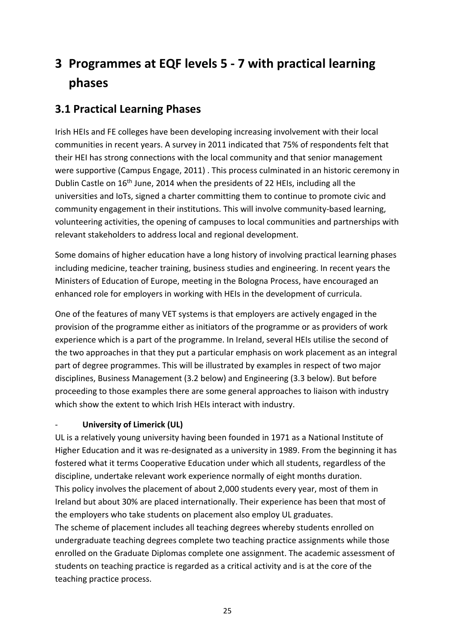## **3 Programmes at EQF levels 5 ‐ 7 with practical learning phases**

### **3.1 Practical Learning Phases**

Irish HEIs and FE colleges have been developing increasing involvement with their local communities in recent years. A survey in 2011 indicated that 75% of respondents felt that their HEI has strong connections with the local community and that senior management were supportive (Campus Engage, 2011) . This process culminated in an historic ceremony in Dublin Castle on 16<sup>th</sup> June, 2014 when the presidents of 22 HEIs, including all the universities and IoTs, signed a charter committing them to continue to promote civic and community engagement in their institutions. This will involve community-based learning, volunteering activities, the opening of campuses to local communities and partnerships with relevant stakeholders to address local and regional development.

Some domains of higher education have a long history of involving practical learning phases including medicine, teacher training, business studies and engineering. In recent years the Ministers of Education of Europe, meeting in the Bologna Process, have encouraged an enhanced role for employers in working with HEIs in the development of curricula.

One of the features of many VET systems is that employers are actively engaged in the provision of the programme either as initiators of the programme or as providers of work experience which is a part of the programme. In Ireland, several HEIs utilise the second of the two approaches in that they put a particular emphasis on work placement as an integral part of degree programmes. This will be illustrated by examples in respect of two major disciplines, Business Management (3.2 below) and Engineering (3.3 below). But before proceeding to those examples there are some general approaches to liaison with industry which show the extent to which Irish HEIs interact with industry.

#### ‐ **University of Limerick (UL)**

UL is a relatively young university having been founded in 1971 as a National Institute of Higher Education and it was re‐designated as a university in 1989. From the beginning it has fostered what it terms Cooperative Education under which all students, regardless of the discipline, undertake relevant work experience normally of eight months duration. This policy involves the placement of about 2,000 students every year, most of them in Ireland but about 30% are placed internationally. Their experience has been that most of the employers who take students on placement also employ UL graduates. The scheme of placement includes all teaching degrees whereby students enrolled on undergraduate teaching degrees complete two teaching practice assignments while those enrolled on the Graduate Diplomas complete one assignment. The academic assessment of students on teaching practice is regarded as a critical activity and is at the core of the teaching practice process.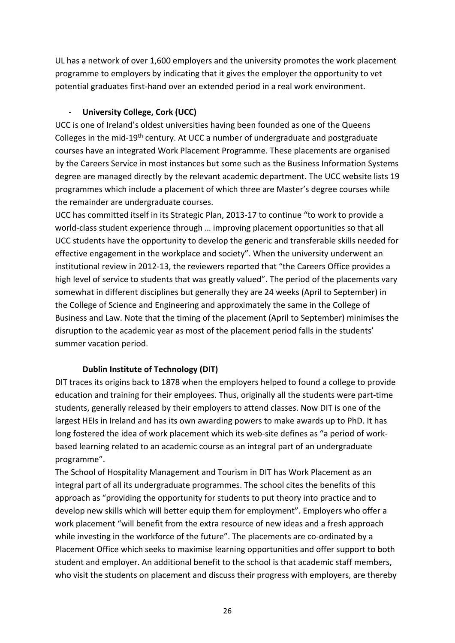UL has a network of over 1,600 employers and the university promotes the work placement programme to employers by indicating that it gives the employer the opportunity to vet potential graduates first‐hand over an extended period in a real work environment.

#### ‐ **University College, Cork (UCC)**

UCC is one of Ireland's oldest universities having been founded as one of the Queens Colleges in the mid-19<sup>th</sup> century. At UCC a number of undergraduate and postgraduate courses have an integrated Work Placement Programme. These placements are organised by the Careers Service in most instances but some such as the Business Information Systems degree are managed directly by the relevant academic department. The UCC website lists 19 programmes which include a placement of which three are Master's degree courses while the remainder are undergraduate courses.

UCC has committed itself in its Strategic Plan, 2013‐17 to continue "to work to provide a world-class student experience through ... improving placement opportunities so that all UCC students have the opportunity to develop the generic and transferable skills needed for effective engagement in the workplace and society". When the university underwent an institutional review in 2012‐13, the reviewers reported that "the Careers Office provides a high level of service to students that was greatly valued". The period of the placements vary somewhat in different disciplines but generally they are 24 weeks (April to September) in the College of Science and Engineering and approximately the same in the College of Business and Law. Note that the timing of the placement (April to September) minimises the disruption to the academic year as most of the placement period falls in the students' summer vacation period.

#### **Dublin Institute of Technology (DIT)**

DIT traces its origins back to 1878 when the employers helped to found a college to provide education and training for their employees. Thus, originally all the students were part-time students, generally released by their employers to attend classes. Now DIT is one of the largest HEIs in Ireland and has its own awarding powers to make awards up to PhD. It has long fostered the idea of work placement which its web-site defines as "a period of workbased learning related to an academic course as an integral part of an undergraduate programme".

The School of Hospitality Management and Tourism in DIT has Work Placement as an integral part of all its undergraduate programmes. The school cites the benefits of this approach as "providing the opportunity for students to put theory into practice and to develop new skills which will better equip them for employment". Employers who offer a work placement "will benefit from the extra resource of new ideas and a fresh approach while investing in the workforce of the future". The placements are co-ordinated by a Placement Office which seeks to maximise learning opportunities and offer support to both student and employer. An additional benefit to the school is that academic staff members, who visit the students on placement and discuss their progress with employers, are thereby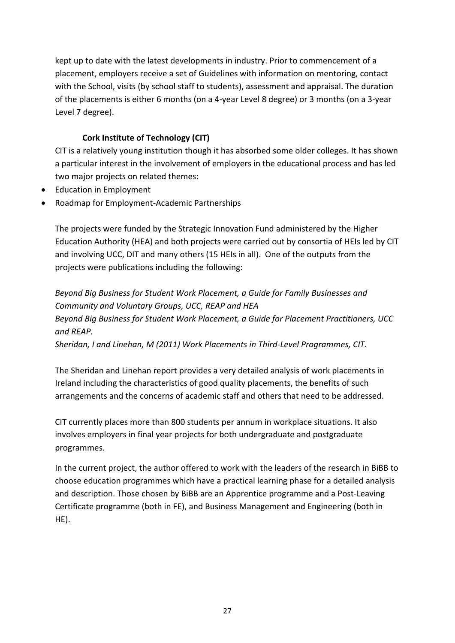kept up to date with the latest developments in industry. Prior to commencement of a placement, employers receive a set of Guidelines with information on mentoring, contact with the School, visits (by school staff to students), assessment and appraisal. The duration of the placements is either 6 months (on a 4‐year Level 8 degree) or 3 months (on a 3‐year Level 7 degree).

#### **Cork Institute of Technology (CIT)**

CIT is a relatively young institution though it has absorbed some older colleges. It has shown a particular interest in the involvement of employers in the educational process and has led two major projects on related themes:

- Education in Employment
- Roadmap for Employment‐Academic Partnerships

The projects were funded by the Strategic Innovation Fund administered by the Higher Education Authority (HEA) and both projects were carried out by consortia of HEIs led by CIT and involving UCC, DIT and many others (15 HEIs in all). One of the outputs from the projects were publications including the following:

*Beyond Big Business for Student Work Placement, a Guide for Family Businesses and Community and Voluntary Groups, UCC, REAP and HEA Beyond Big Business for Student Work Placement, a Guide for Placement Practitioners, UCC and REAP. Sheridan, I and Linehan, M (2011) Work Placements in Third‐Level Programmes, CIT.*

The Sheridan and Linehan report provides a very detailed analysis of work placements in Ireland including the characteristics of good quality placements, the benefits of such arrangements and the concerns of academic staff and others that need to be addressed.

CIT currently places more than 800 students per annum in workplace situations. It also involves employers in final year projects for both undergraduate and postgraduate programmes.

In the current project, the author offered to work with the leaders of the research in BiBB to choose education programmes which have a practical learning phase for a detailed analysis and description. Those chosen by BiBB are an Apprentice programme and a Post-Leaving Certificate programme (both in FE), and Business Management and Engineering (both in HE).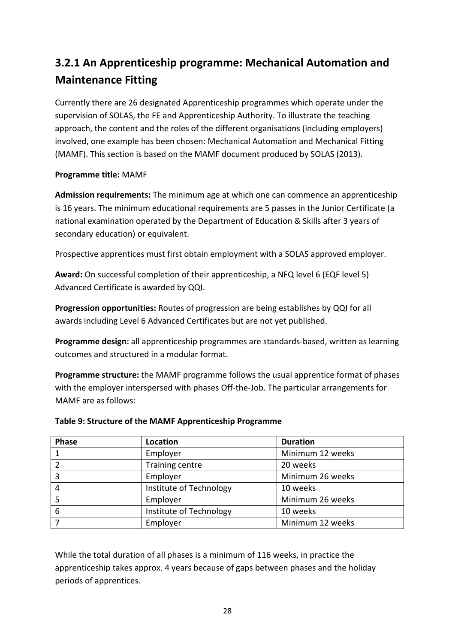### **3.2.1 An Apprenticeship programme: Mechanical Automation and Maintenance Fitting**

Currently there are 26 designated Apprenticeship programmes which operate under the supervision of SOLAS, the FE and Apprenticeship Authority. To illustrate the teaching approach, the content and the roles of the different organisations (including employers) involved, one example has been chosen: Mechanical Automation and Mechanical Fitting (MAMF). This section is based on the MAMF document produced by SOLAS (2013).

#### **Programme title:** MAMF

**Admission requirements:** The minimum age at which one can commence an apprenticeship is 16 years. The minimum educational requirements are 5 passes in the Junior Certificate (a national examination operated by the Department of Education & Skills after 3 years of secondary education) or equivalent.

Prospective apprentices must first obtain employment with a SOLAS approved employer.

**Award:** On successful completion of their apprenticeship, a NFQ level 6 (EQF level 5) Advanced Certificate is awarded by QQI.

**Progression opportunities:** Routes of progression are being establishes by QQI for all awards including Level 6 Advanced Certificates but are not yet published.

**Programme design:** all apprenticeship programmes are standards‐based, written as learning outcomes and structured in a modular format.

**Programme structure:** the MAMF programme follows the usual apprentice format of phases with the employer interspersed with phases Off-the-Job. The particular arrangements for MAMF are as follows:

| <b>Phase</b> | Location                | <b>Duration</b>  |  |
|--------------|-------------------------|------------------|--|
|              | Employer                | Minimum 12 weeks |  |
|              | Training centre         | 20 weeks         |  |
| 3            | Employer                | Minimum 26 weeks |  |
| 4            | Institute of Technology | 10 weeks         |  |
|              | Employer                | Minimum 26 weeks |  |
| 6            | Institute of Technology | 10 weeks         |  |
|              | Employer                | Minimum 12 weeks |  |

#### **Table 9: Structure of the MAMF Apprenticeship Programme**

While the total duration of all phases is a minimum of 116 weeks, in practice the apprenticeship takes approx. 4 years because of gaps between phases and the holiday periods of apprentices.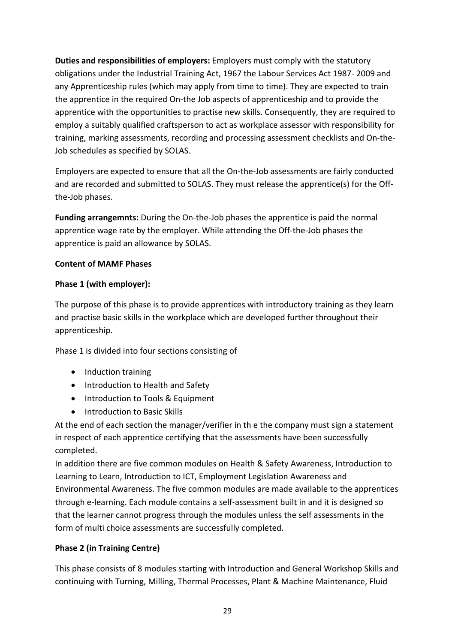**Duties and responsibilities of employers:** Employers must comply with the statutory obligations under the Industrial Training Act, 1967 the Labour Services Act 1987‐ 2009 and any Apprenticeship rules (which may apply from time to time). They are expected to train the apprentice in the required On‐the Job aspects of apprenticeship and to provide the apprentice with the opportunities to practise new skills. Consequently, they are required to employ a suitably qualified craftsperson to act as workplace assessor with responsibility for training, marking assessments, recording and processing assessment checklists and On‐the‐ Job schedules as specified by SOLAS.

Employers are expected to ensure that all the On‐the‐Job assessments are fairly conducted and are recorded and submitted to SOLAS. They must release the apprentice(s) for the Off‐ the‐Job phases.

**Funding arrangemnts:** During the On‐the‐Job phases the apprentice is paid the normal apprentice wage rate by the employer. While attending the Off-the-Job phases the apprentice is paid an allowance by SOLAS.

#### **Content of MAMF Phases**

#### **Phase 1 (with employer):**

The purpose of this phase is to provide apprentices with introductory training as they learn and practise basic skills in the workplace which are developed further throughout their apprenticeship.

Phase 1 is divided into four sections consisting of

- Induction training
- Introduction to Health and Safety
- Introduction to Tools & Equipment
- Introduction to Basic Skills

At the end of each section the manager/verifier in th e the company must sign a statement in respect of each apprentice certifying that the assessments have been successfully completed.

In addition there are five common modules on Health & Safety Awareness, Introduction to Learning to Learn, Introduction to ICT, Employment Legislation Awareness and Environmental Awareness. The five common modules are made available to the apprentices through e‐learning. Each module contains a self‐assessment built in and it is designed so that the learner cannot progress through the modules unless the self assessments in the form of multi choice assessments are successfully completed.

#### **Phase 2 (in Training Centre)**

This phase consists of 8 modules starting with Introduction and General Workshop Skills and continuing with Turning, Milling, Thermal Processes, Plant & Machine Maintenance, Fluid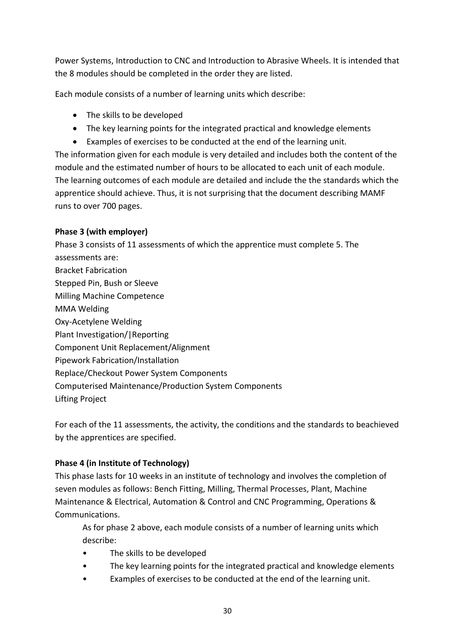Power Systems, Introduction to CNC and Introduction to Abrasive Wheels. It is intended that the 8 modules should be completed in the order they are listed.

Each module consists of a number of learning units which describe:

- The skills to be developed
- The key learning points for the integrated practical and knowledge elements
- Examples of exercises to be conducted at the end of the learning unit.

The information given for each module is very detailed and includes both the content of the module and the estimated number of hours to be allocated to each unit of each module. The learning outcomes of each module are detailed and include the the standards which the apprentice should achieve. Thus, it is not surprising that the document describing MAMF runs to over 700 pages.

#### **Phase 3 (with employer)**

Phase 3 consists of 11 assessments of which the apprentice must complete 5. The assessments are: Bracket Fabrication Stepped Pin, Bush or Sleeve Milling Machine Competence MMA Welding Oxy‐Acetylene Welding Plant Investigation/|Reporting Component Unit Replacement/Alignment Pipework Fabrication/Installation Replace/Checkout Power System Components Computerised Maintenance/Production System Components Lifting Project

For each of the 11 assessments, the activity, the conditions and the standards to beachieved by the apprentices are specified.

#### **Phase 4 (in Institute of Technology)**

This phase lasts for 10 weeks in an institute of technology and involves the completion of seven modules as follows: Bench Fitting, Milling, Thermal Processes, Plant, Machine Maintenance & Electrical, Automation & Control and CNC Programming, Operations & Communications.

As for phase 2 above, each module consists of a number of learning units which describe:

- The skills to be developed
- The key learning points for the integrated practical and knowledge elements
- Examples of exercises to be conducted at the end of the learning unit.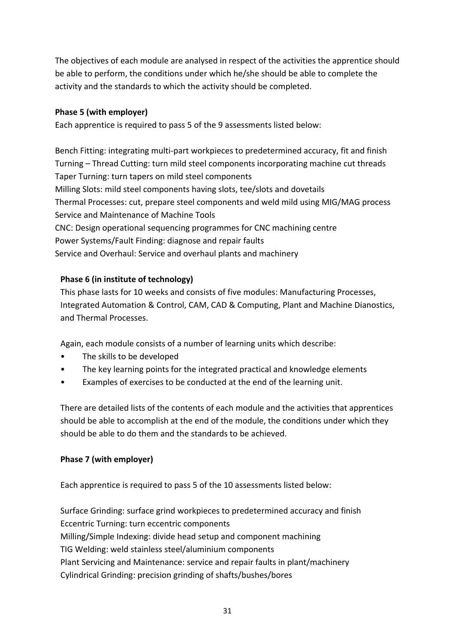The objectives of each module are analysed in respect of the activities the apprentice should be able to perform, the conditions under which he/she should be able to complete the activity and the standards to which the activity should be completed.

#### **Phase 5 (with employer)**

Each apprentice is required to pass 5 of the 9 assessments listed below:

Bench Fitting: integrating multi‐part workpieces to predetermined accuracy, fit and finish Turning – Thread Cutting: turn mild steel components incorporating machine cut threads Taper Turning: turn tapers on mild steel components Milling Slots: mild steel components having slots, tee/slots and dovetails Thermal Processes: cut, prepare steel components and weld mild using MIG/MAG process Service and Maintenance of Machine Tools CNC: Design operational sequencing programmes for CNC machining centre Power Systems/Fault Finding: diagnose and repair faults Service and Overhaul: Service and overhaul plants and machinery

#### **Phase 6 (in institute of technology)**

This phase lasts for 10 weeks and consists of five modules: Manufacturing Processes, Integrated Automation & Control, CAM, CAD & Computing, Plant and Machine Dianostics, and Thermal Processes.

Again, each module consists of a number of learning units which describe:

- The skills to be developed
- The key learning points for the integrated practical and knowledge elements
- Examples of exercises to be conducted at the end of the learning unit.

There are detailed lists of the contents of each module and the activities that apprentices should be able to accomplish at the end of the module, the conditions under which they should be able to do them and the standards to be achieved.

#### **Phase 7 (with employer)**

Each apprentice is required to pass 5 of the 10 assessments listed below:

Surface Grinding: surface grind workpieces to predetermined accuracy and finish Eccentric Turning: turn eccentric components Milling/Simple Indexing: divide head setup and component machining TIG Welding: weld stainless steel/aluminium components Plant Servicing and Maintenance: service and repair faults in plant/machinery Cylindrical Grinding: precision grinding of shafts/bushes/bores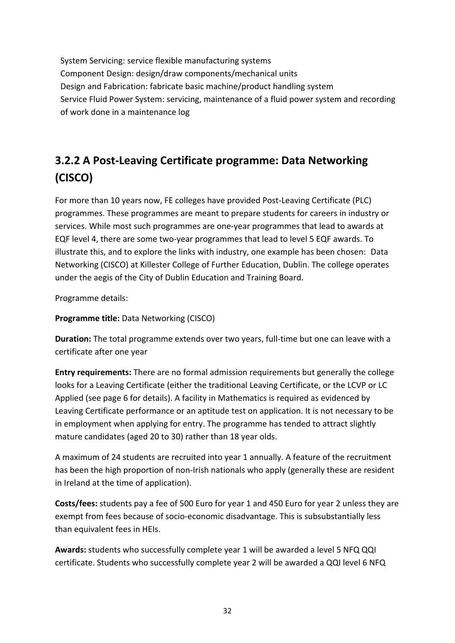System Servicing: service flexible manufacturing systems Component Design: design/draw components/mechanical units Design and Fabrication: fabricate basic machine/product handling system Service Fluid Power System: servicing, maintenance of a fluid power system and recording of work done in a maintenance log

### **3.2.2 A Post‐Leaving Certificate programme: Data Networking (CISCO)**

For more than 10 years now, FE colleges have provided Post‐Leaving Certificate (PLC) programmes. These programmes are meant to prepare students for careers in industry or services. While most such programmes are one‐year programmes that lead to awards at EQF level 4, there are some two-year programmes that lead to level 5 EQF awards. To illustrate this, and to explore the links with industry, one example has been chosen: Data Networking (CISCO) at Killester College of Further Education, Dublin. The college operates under the aegis of the City of Dublin Education and Training Board.

Programme details:

**Programme title:** Data Networking (CISCO)

**Duration:** The total programme extends over two years, full‐time but one can leave with a certificate after one year

**Entry requirements:** There are no formal admission requirements but generally the college looks for a Leaving Certificate (either the traditional Leaving Certificate, or the LCVP or LC Applied (see page 6 for details). A facility in Mathematics is required as evidenced by Leaving Certificate performance or an aptitude test on application. It is not necessary to be in employment when applying for entry. The programme has tended to attract slightly mature candidates (aged 20 to 30) rather than 18 year olds.

A maximum of 24 students are recruited into year 1 annually. A feature of the recruitment has been the high proportion of non-Irish nationals who apply (generally these are resident in Ireland at the time of application).

**Costs/fees:** students pay a fee of 500 Euro for year 1 and 450 Euro for year 2 unless they are exempt from fees because of socio‐economic disadvantage. This is subsubstantially less than equivalent fees in HEIs.

**Awards:** students who successfully complete year 1 will be awarded a level 5 NFQ QQI certificate. Students who successfully complete year 2 will be awarded a QQI level 6 NFQ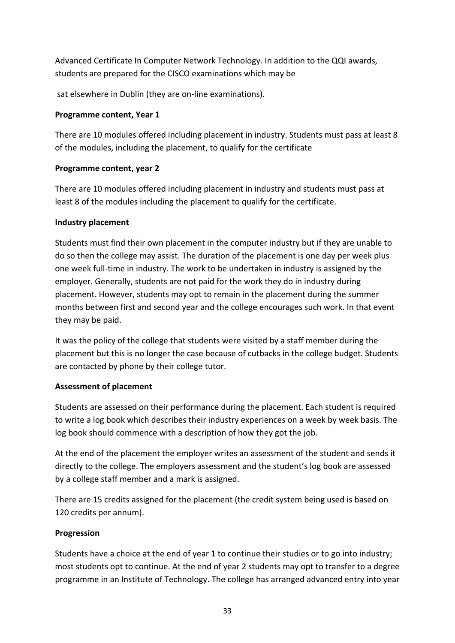Advanced Certificate In Computer Network Technology. In addition to the QQI awards, students are prepared for the CISCO examinations which may be

sat elsewhere in Dublin (they are on-line examinations).

#### **Programme content, Year 1**

There are 10 modules offered including placement in industry. Students must pass at least 8 of the modules, including the placement, to qualify for the certificate

#### **Programme content, year 2**

There are 10 modules offered including placement in industry and students must pass at least 8 of the modules including the placement to qualify for the certificate.

#### **Industry placement**

Students must find their own placement in the computer industry but if they are unable to do so then the college may assist. The duration of the placement is one day per week plus one week full‐time in industry. The work to be undertaken in industry is assigned by the employer. Generally, students are not paid for the work they do in industry during placement. However, students may opt to remain in the placement during the summer months between first and second year and the college encourages such work. In that event they may be paid.

It was the policy of the college that students were visited by a staff member during the placement but this is no longer the case because of cutbacks in the college budget. Students are contacted by phone by their college tutor.

#### **Assessment of placement**

Students are assessed on their performance during the placement. Each student is required to write a log book which describes their industry experiences on a week by week basis. The log book should commence with a description of how they got the job.

At the end of the placement the employer writes an assessment of the student and sends it directly to the college. The employers assessment and the student's log book are assessed by a college staff member and a mark is assigned.

There are 15 credits assigned for the placement (the credit system being used is based on 120 credits per annum).

#### **Progression**

Students have a choice at the end of year 1 to continue their studies or to go into industry; most students opt to continue. At the end of year 2 students may opt to transfer to a degree programme in an Institute of Technology. The college has arranged advanced entry into year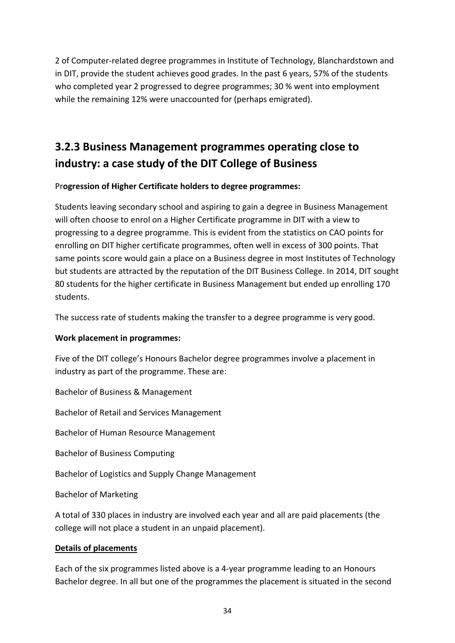2 of Computer‐related degree programmes in Institute of Technology, Blanchardstown and in DIT, provide the student achieves good grades. In the past 6 years, 57% of the students who completed year 2 progressed to degree programmes; 30 % went into employment while the remaining 12% were unaccounted for (perhaps emigrated).

### **3.2.3 Business Management programmes operating close to industry: a case study of the DIT College of Business**

#### Pr**ogression of Higher Certificate holders to degree programmes:**

Students leaving secondary school and aspiring to gain a degree in Business Management will often choose to enrol on a Higher Certificate programme in DIT with a view to progressing to a degree programme. This is evident from the statistics on CAO points for enrolling on DIT higher certificate programmes, often well in excess of 300 points. That same points score would gain a place on a Business degree in most Institutes of Technology but students are attracted by the reputation of the DIT Business College. In 2014, DIT sought 80 students for the higher certificate in Business Management but ended up enrolling 170 students.

The success rate of students making the transfer to a degree programme is very good.

#### **Work placement in programmes:**

Five of the DIT college's Honours Bachelor degree programmes involve a placement in industry as part of the programme. These are:

Bachelor of Business & Management

Bachelor of Retail and Services Management

Bachelor of Human Resource Management

Bachelor of Business Computing

Bachelor of Logistics and Supply Change Management

Bachelor of Marketing

A total of 330 places in industry are involved each year and all are paid placements (the college will not place a student in an unpaid placement).

#### **Details of placements**

Each of the six programmes listed above is a 4‐year programme leading to an Honours Bachelor degree. In all but one of the programmes the placement is situated in the second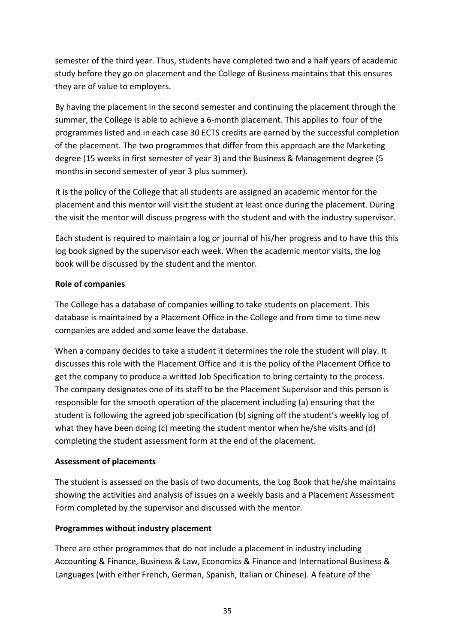semester of the third year. Thus, students have completed two and a half years of academic study before they go on placement and the College of Business maintains that this ensures they are of value to employers.

By having the placement in the second semester and continuing the placement through the summer, the College is able to achieve a 6‐month placement. This applies to four of the programmes listed and in each case 30 ECTS credits are earned by the successful completion of the placement. The two programmes that differ from this approach are the Marketing degree (15 weeks in first semester of year 3) and the Business & Management degree (5 months in second semester of year 3 plus summer).

It is the policy of the College that all students are assigned an academic mentor for the placement and this mentor will visit the student at least once during the placement. During the visit the mentor will discuss progress with the student and with the industry supervisor.

Each student is required to maintain a log or journal of his/her progress and to have this this log book signed by the supervisor each week. When the academic mentor visits, the log book will be discussed by the student and the mentor.

#### **Role of companies**

The College has a database of companies willing to take students on placement. This database is maintained by a Placement Office in the College and from time to time new companies are added and some leave the database.

When a company decides to take a student it determines the role the student will play. It discusses this role with the Placement Office and it is the policy of the Placement Office to get the company to produce a writted Job Specification to bring certainty to the process. The company designates one of its staff to be the Placement Supervisor and this person is responsible for the smooth operation of the placement including (a) ensuring that the student is following the agreed job specification (b) signing off the student's weekly log of what they have been doing (c) meeting the student mentor when he/she visits and (d) completing the student assessment form at the end of the placement.

#### **Assessment of placements**

The student is assessed on the basis of two documents, the Log Book that he/she maintains showing the activities and analysis of issues on a weekly basis and a Placement Assessment Form completed by the supervisor and discussed with the mentor.

#### **Programmes without industry placement**

There are other programmes that do not include a placement in industry including Accounting & Finance, Business & Law, Economics & Finance and International Business & Languages (with either French, German, Spanish, Italian or Chinese). A feature of the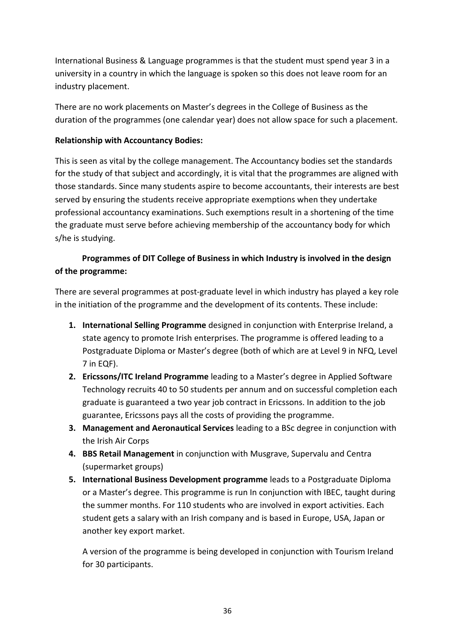International Business & Language programmes is that the student must spend year 3 in a university in a country in which the language is spoken so this does not leave room for an industry placement.

There are no work placements on Master's degrees in the College of Business as the duration of the programmes (one calendar year) does not allow space for such a placement.

#### **Relationship with Accountancy Bodies:**

This is seen as vital by the college management. The Accountancy bodies set the standards for the study of that subject and accordingly, it is vital that the programmes are aligned with those standards. Since many students aspire to become accountants, their interests are best served by ensuring the students receive appropriate exemptions when they undertake professional accountancy examinations. Such exemptions result in a shortening of the time the graduate must serve before achieving membership of the accountancy body for which s/he is studying.

#### **Programmes of DIT College of Business in which Industry is involved in the design of the programme:**

There are several programmes at post-graduate level in which industry has played a key role in the initiation of the programme and the development of its contents. These include:

- **1. International Selling Programme** designed in conjunction with Enterprise Ireland, a state agency to promote Irish enterprises. The programme is offered leading to a Postgraduate Diploma or Master's degree (both of which are at Level 9 in NFQ, Level 7 in EQF).
- **2. Ericssons/ITC Ireland Programme** leading to a Master's degree in Applied Software Technology recruits 40 to 50 students per annum and on successful completion each graduate is guaranteed a two year job contract in Ericssons. In addition to the job guarantee, Ericssons pays all the costs of providing the programme.
- **3. Management and Aeronautical Services** leading to a BSc degree in conjunction with the Irish Air Corps
- **4. BBS Retail Management** in conjunction with Musgrave, Supervalu and Centra (supermarket groups)
- **5. International Business Development programme** leads to a Postgraduate Diploma or a Master's degree. This programme is run In conjunction with IBEC, taught during the summer months. For 110 students who are involved in export activities. Each student gets a salary with an Irish company and is based in Europe, USA, Japan or another key export market.

A version of the programme is being developed in conjunction with Tourism Ireland for 30 participants.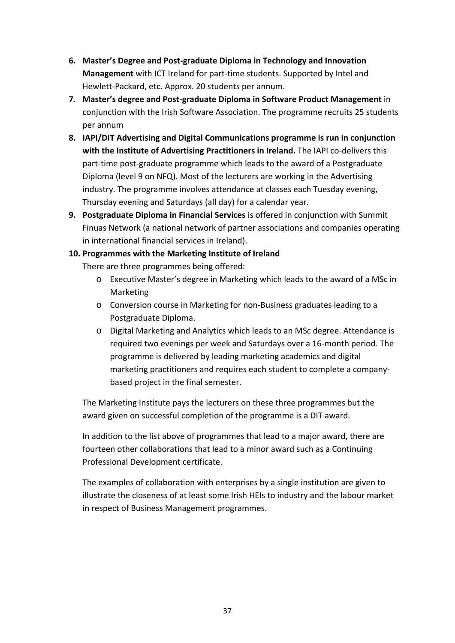- **6. Master's Degree and Post‐graduate Diploma in Technology and Innovation Management** with ICT Ireland for part‐time students. Supported by Intel and Hewlett‐Packard, etc. Approx. 20 students per annum.
- **7. Master's degree and Post‐graduate Diploma in Software Product Management** in conjunction with the Irish Software Association. The programme recruits 25 students per annum
- **8. IAPI/DIT Advertising and Digital Communications programme is run in conjunction with the Institute of Advertising Practitioners in Ireland.** The IAPI co‐delivers this part-time post-graduate programme which leads to the award of a Postgraduate Diploma (level 9 on NFQ). Most of the lecturers are working in the Advertising industry. The programme involves attendance at classes each Tuesday evening, Thursday evening and Saturdays (all day) for a calendar year.
- **9. Postgraduate Diploma in Financial Services** is offered in conjunction with Summit Finuas Network (a national network of partner associations and companies operating in international financial services in Ireland).

#### **10. Programmes with the Marketing Institute of Ireland**

There are three programmes being offered:

- o Executive Master's degree in Marketing which leads to the award of a MSc in Marketing
- o Conversion course in Marketing for non‐Business graduates leading to a Postgraduate Diploma.
- o Digital Marketing and Analytics which leads to an MSc degree. Attendance is required two evenings per week and Saturdays over a 16‐month period. The programme is delivered by leading marketing academics and digital marketing practitioners and requires each student to complete a company‐ based project in the final semester.

The Marketing Institute pays the lecturers on these three programmes but the award given on successful completion of the programme is a DIT award.

In addition to the list above of programmes that lead to a major award, there are fourteen other collaborations that lead to a minor award such as a Continuing Professional Development certificate.

The examples of collaboration with enterprises by a single institution are given to illustrate the closeness of at least some Irish HEIs to industry and the labour market in respect of Business Management programmes.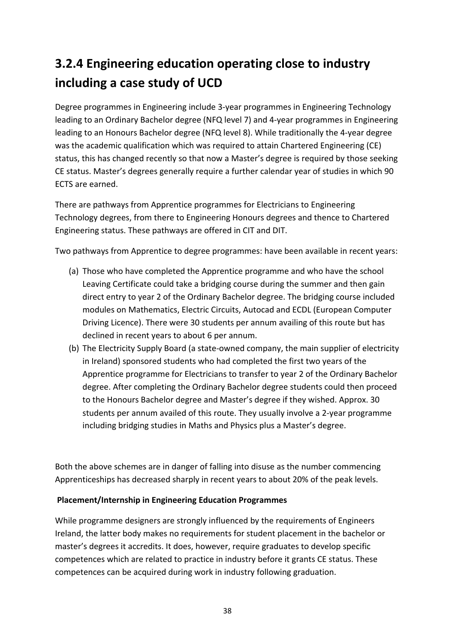## **3.2.4 Engineering education operating close to industry including a case study of UCD**

Degree programmes in Engineering include 3‐year programmes in Engineering Technology leading to an Ordinary Bachelor degree (NFQ level 7) and 4‐year programmes in Engineering leading to an Honours Bachelor degree (NFQ level 8). While traditionally the 4‐year degree was the academic qualification which was required to attain Chartered Engineering (CE) status, this has changed recently so that now a Master's degree is required by those seeking CE status. Master's degrees generally require a further calendar year of studies in which 90 ECTS are earned.

There are pathways from Apprentice programmes for Electricians to Engineering Technology degrees, from there to Engineering Honours degrees and thence to Chartered Engineering status. These pathways are offered in CIT and DIT.

Two pathways from Apprentice to degree programmes: have been available in recent years:

- (a) Those who have completed the Apprentice programme and who have the school Leaving Certificate could take a bridging course during the summer and then gain direct entry to year 2 of the Ordinary Bachelor degree. The bridging course included modules on Mathematics, Electric Circuits, Autocad and ECDL (European Computer Driving Licence). There were 30 students per annum availing of this route but has declined in recent years to about 6 per annum.
- (b) The Electricity Supply Board (a state‐owned company, the main supplier of electricity in Ireland) sponsored students who had completed the first two years of the Apprentice programme for Electricians to transfer to year 2 of the Ordinary Bachelor degree. After completing the Ordinary Bachelor degree students could then proceed to the Honours Bachelor degree and Master's degree if they wished. Approx. 30 students per annum availed of this route. They usually involve a 2‐year programme including bridging studies in Maths and Physics plus a Master's degree.

Both the above schemes are in danger of falling into disuse as the number commencing Apprenticeships has decreased sharply in recent years to about 20% of the peak levels.

#### **Placement/Internship in Engineering Education Programmes**

While programme designers are strongly influenced by the requirements of Engineers Ireland, the latter body makes no requirements for student placement in the bachelor or master's degrees it accredits. It does, however, require graduates to develop specific competences which are related to practice in industry before it grants CE status. These competences can be acquired during work in industry following graduation.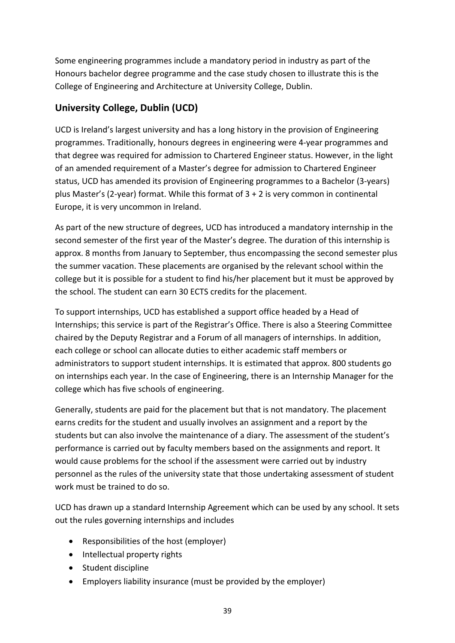Some engineering programmes include a mandatory period in industry as part of the Honours bachelor degree programme and the case study chosen to illustrate this is the College of Engineering and Architecture at University College, Dublin.

### **University College, Dublin (UCD)**

UCD is Ireland's largest university and has a long history in the provision of Engineering programmes. Traditionally, honours degrees in engineering were 4‐year programmes and that degree was required for admission to Chartered Engineer status. However, in the light of an amended requirement of a Master's degree for admission to Chartered Engineer status, UCD has amended its provision of Engineering programmes to a Bachelor (3‐years) plus Master's (2‐year) format. While this format of 3 + 2 is very common in continental Europe, it is very uncommon in Ireland.

As part of the new structure of degrees, UCD has introduced a mandatory internship in the second semester of the first year of the Master's degree. The duration of this internship is approx. 8 months from January to September, thus encompassing the second semester plus the summer vacation. These placements are organised by the relevant school within the college but it is possible for a student to find his/her placement but it must be approved by the school. The student can earn 30 ECTS credits for the placement.

To support internships, UCD has established a support office headed by a Head of Internships; this service is part of the Registrar's Office. There is also a Steering Committee chaired by the Deputy Registrar and a Forum of all managers of internships. In addition, each college or school can allocate duties to either academic staff members or administrators to support student internships. It is estimated that approx. 800 students go on internships each year. In the case of Engineering, there is an Internship Manager for the college which has five schools of engineering.

Generally, students are paid for the placement but that is not mandatory. The placement earns credits for the student and usually involves an assignment and a report by the students but can also involve the maintenance of a diary. The assessment of the student's performance is carried out by faculty members based on the assignments and report. It would cause problems for the school if the assessment were carried out by industry personnel as the rules of the university state that those undertaking assessment of student work must be trained to do so.

UCD has drawn up a standard Internship Agreement which can be used by any school. It sets out the rules governing internships and includes

- Responsibilities of the host (employer)
- Intellectual property rights
- Student discipline
- Employers liability insurance (must be provided by the employer)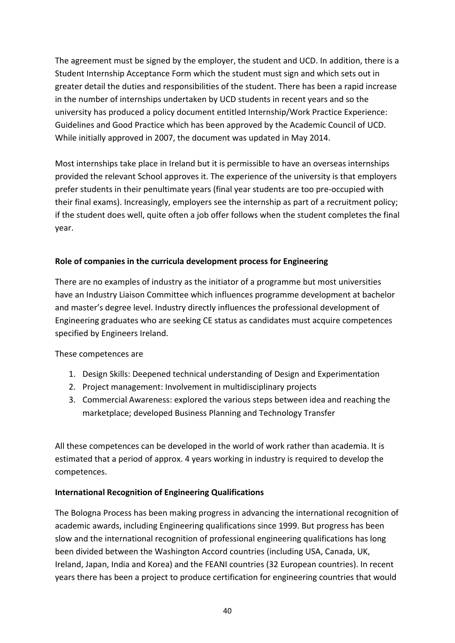The agreement must be signed by the employer, the student and UCD. In addition, there is a Student Internship Acceptance Form which the student must sign and which sets out in greater detail the duties and responsibilities of the student. There has been a rapid increase in the number of internships undertaken by UCD students in recent years and so the university has produced a policy document entitled Internship/Work Practice Experience: Guidelines and Good Practice which has been approved by the Academic Council of UCD. While initially approved in 2007, the document was updated in May 2014.

Most internships take place in Ireland but it is permissible to have an overseas internships provided the relevant School approves it. The experience of the university is that employers prefer students in their penultimate years (final year students are too pre‐occupied with their final exams). Increasingly, employers see the internship as part of a recruitment policy; if the student does well, quite often a job offer follows when the student completes the final year.

#### **Role of companies in the curricula development process for Engineering**

There are no examples of industry as the initiator of a programme but most universities have an Industry Liaison Committee which influences programme development at bachelor and master's degree level. Industry directly influences the professional development of Engineering graduates who are seeking CE status as candidates must acquire competences specified by Engineers Ireland.

These competences are

- 1. Design Skills: Deepened technical understanding of Design and Experimentation
- 2. Project management: Involvement in multidisciplinary projects
- 3. Commercial Awareness: explored the various steps between idea and reaching the marketplace; developed Business Planning and Technology Transfer

All these competences can be developed in the world of work rather than academia. It is estimated that a period of approx. 4 years working in industry is required to develop the competences.

#### **International Recognition of Engineering Qualifications**

The Bologna Process has been making progress in advancing the international recognition of academic awards, including Engineering qualifications since 1999. But progress has been slow and the international recognition of professional engineering qualifications has long been divided between the Washington Accord countries (including USA, Canada, UK, Ireland, Japan, India and Korea) and the FEANI countries (32 European countries). In recent years there has been a project to produce certification for engineering countries that would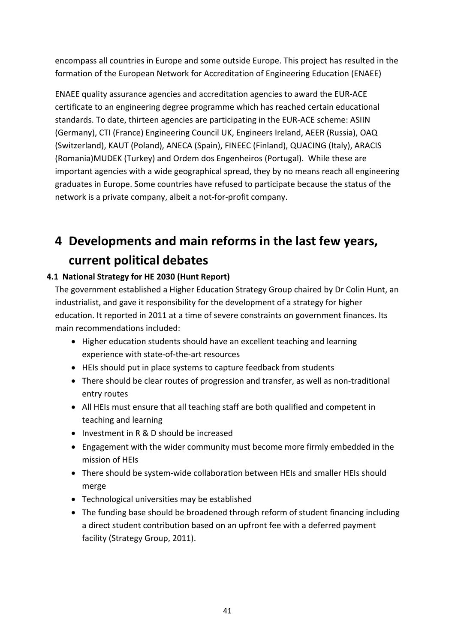encompass all countries in Europe and some outside Europe. This project has resulted in the formation of the European Network for Accreditation of Engineering Education (ENAEE)

ENAEE quality assurance agencies and accreditation agencies to award the EUR‐ACE certificate to an engineering degree programme which has reached certain educational standards. To date, thirteen agencies are participating in the EUR‐ACE scheme: ASIIN (Germany), CTI (France) Engineering Council UK, Engineers Ireland, AEER (Russia), OAQ (Switzerland), KAUT (Poland), ANECA (Spain), FINEEC (Finland), QUACING (Italy), ARACIS (Romania)MUDEK (Turkey) and Ordem dos Engenheiros (Portugal). While these are important agencies with a wide geographical spread, they by no means reach all engineering graduates in Europe. Some countries have refused to participate because the status of the network is a private company, albeit a not‐for‐profit company.

## **4 Developments and main reforms in the last few years, current political debates**

#### **4.1 National Strategy for HE 2030 (Hunt Report)**

The government established a Higher Education Strategy Group chaired by Dr Colin Hunt, an industrialist, and gave it responsibility for the development of a strategy for higher education. It reported in 2011 at a time of severe constraints on government finances. Its main recommendations included:

- Higher education students should have an excellent teaching and learning experience with state‐of‐the‐art resources
- HEIs should put in place systems to capture feedback from students
- There should be clear routes of progression and transfer, as well as non-traditional entry routes
- All HEIs must ensure that all teaching staff are both qualified and competent in teaching and learning
- Investment in R & D should be increased
- Engagement with the wider community must become more firmly embedded in the mission of HEIs
- There should be system-wide collaboration between HEIs and smaller HEIs should merge
- Technological universities may be established
- The funding base should be broadened through reform of student financing including a direct student contribution based on an upfront fee with a deferred payment facility (Strategy Group, 2011).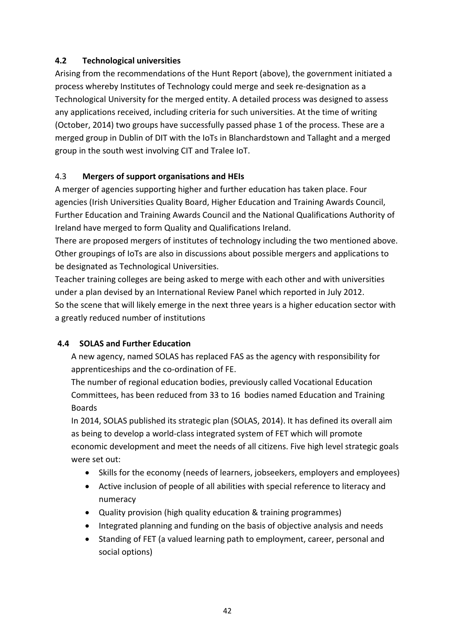#### **4.2 Technological universities**

Arising from the recommendations of the Hunt Report (above), the government initiated a process whereby Institutes of Technology could merge and seek re‐designation as a Technological University for the merged entity. A detailed process was designed to assess any applications received, including criteria for such universities. At the time of writing (October, 2014) two groups have successfully passed phase 1 of the process. These are a merged group in Dublin of DIT with the IoTs in Blanchardstown and Tallaght and a merged group in the south west involving CIT and Tralee IoT.

#### 4.3 **Mergers of support organisations and HEIs**

A merger of agencies supporting higher and further education has taken place. Four agencies (Irish Universities Quality Board, Higher Education and Training Awards Council, Further Education and Training Awards Council and the National Qualifications Authority of Ireland have merged to form Quality and Qualifications Ireland.

There are proposed mergers of institutes of technology including the two mentioned above. Other groupings of IoTs are also in discussions about possible mergers and applications to be designated as Technological Universities.

Teacher training colleges are being asked to merge with each other and with universities under a plan devised by an International Review Panel which reported in July 2012. So the scene that will likely emerge in the next three years is a higher education sector with a greatly reduced number of institutions

#### **4.4 SOLAS and Further Education**

A new agency, named SOLAS has replaced FAS as the agency with responsibility for apprenticeships and the co-ordination of FE.

The number of regional education bodies, previously called Vocational Education Committees, has been reduced from 33 to 16 bodies named Education and Training Boards

In 2014, SOLAS published its strategic plan (SOLAS, 2014). It has defined its overall aim as being to develop a world‐class integrated system of FET which will promote economic development and meet the needs of all citizens. Five high level strategic goals were set out:

- Skills for the economy (needs of learners, jobseekers, employers and employees)
- Active inclusion of people of all abilities with special reference to literacy and numeracy
- Quality provision (high quality education & training programmes)
- Integrated planning and funding on the basis of objective analysis and needs
- Standing of FET (a valued learning path to employment, career, personal and social options)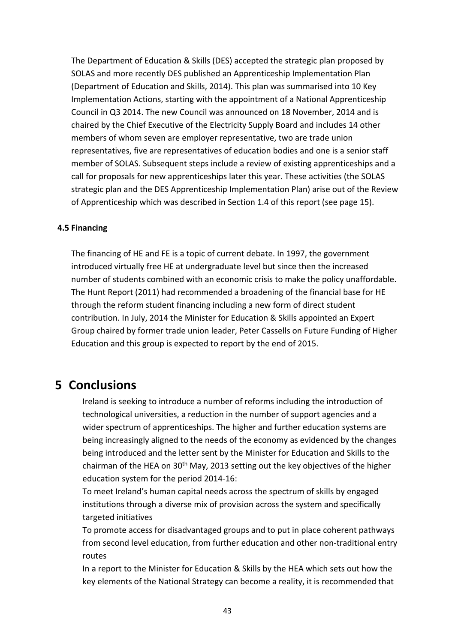The Department of Education & Skills (DES) accepted the strategic plan proposed by SOLAS and more recently DES published an Apprenticeship Implementation Plan (Department of Education and Skills, 2014). This plan was summarised into 10 Key Implementation Actions, starting with the appointment of a National Apprenticeship Council in Q3 2014. The new Council was announced on 18 November, 2014 and is chaired by the Chief Executive of the Electricity Supply Board and includes 14 other members of whom seven are employer representative, two are trade union representatives, five are representatives of education bodies and one is a senior staff member of SOLAS. Subsequent steps include a review of existing apprenticeships and a call for proposals for new apprenticeships later this year. These activities (the SOLAS strategic plan and the DES Apprenticeship Implementation Plan) arise out of the Review of Apprenticeship which was described in Section 1.4 of this report (see page 15).

#### **4.5 Financing**

The financing of HE and FE is a topic of current debate. In 1997, the government introduced virtually free HE at undergraduate level but since then the increased number of students combined with an economic crisis to make the policy unaffordable. The Hunt Report (2011) had recommended a broadening of the financial base for HE through the reform student financing including a new form of direct student contribution. In July, 2014 the Minister for Education & Skills appointed an Expert Group chaired by former trade union leader, Peter Cassells on Future Funding of Higher Education and this group is expected to report by the end of 2015.

### **5 Conclusions**

Ireland is seeking to introduce a number of reforms including the introduction of technological universities, a reduction in the number of support agencies and a wider spectrum of apprenticeships. The higher and further education systems are being increasingly aligned to the needs of the economy as evidenced by the changes being introduced and the letter sent by the Minister for Education and Skills to the chairman of the HEA on  $30<sup>th</sup>$  May, 2013 setting out the key objectives of the higher education system for the period 2014‐16:

To meet Ireland's human capital needs across the spectrum of skills by engaged institutions through a diverse mix of provision across the system and specifically targeted initiatives

To promote access for disadvantaged groups and to put in place coherent pathways from second level education, from further education and other non-traditional entry routes

In a report to the Minister for Education & Skills by the HEA which sets out how the key elements of the National Strategy can become a reality, it is recommended that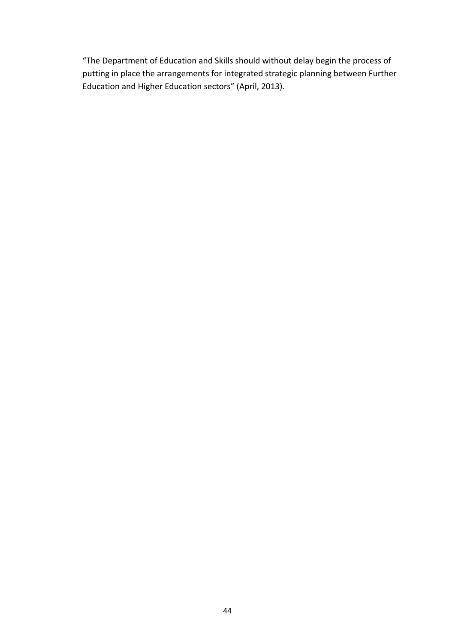"The Department of Education and Skills should without delay begin the process of putting in place the arrangements for integrated strategic planning between Further Education and Higher Education sectors" (April, 2013).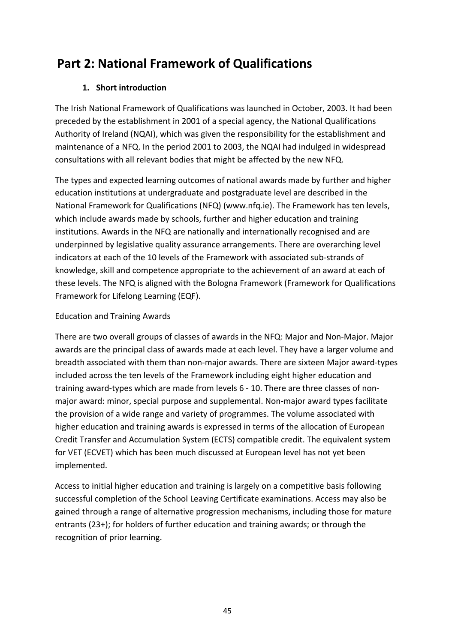### **Part 2: National Framework of Qualifications**

#### **1. Short introduction**

The Irish National Framework of Qualifications was launched in October, 2003. It had been preceded by the establishment in 2001 of a special agency, the National Qualifications Authority of Ireland (NQAI), which was given the responsibility for the establishment and maintenance of a NFQ. In the period 2001 to 2003, the NQAI had indulged in widespread consultations with all relevant bodies that might be affected by the new NFQ.

The types and expected learning outcomes of national awards made by further and higher education institutions at undergraduate and postgraduate level are described in the National Framework for Qualifications (NFQ) (www.nfq.ie). The Framework has ten levels, which include awards made by schools, further and higher education and training institutions. Awards in the NFQ are nationally and internationally recognised and are underpinned by legislative quality assurance arrangements. There are overarching level indicators at each of the 10 levels of the Framework with associated sub‐strands of knowledge, skill and competence appropriate to the achievement of an award at each of these levels. The NFQ is aligned with the Bologna Framework (Framework for Qualifications Framework for Lifelong Learning (EQF).

#### Education and Training Awards

There are two overall groups of classes of awards in the NFQ: Major and Non‐Major. Major awards are the principal class of awards made at each level. They have a larger volume and breadth associated with them than non‐major awards. There are sixteen Major award‐types included across the ten levels of the Framework including eight higher education and training award‐types which are made from levels 6 ‐ 10. There are three classes of non‐ major award: minor, special purpose and supplemental. Non‐major award types facilitate the provision of a wide range and variety of programmes. The volume associated with higher education and training awards is expressed in terms of the allocation of European Credit Transfer and Accumulation System (ECTS) compatible credit. The equivalent system for VET (ECVET) which has been much discussed at European level has not yet been implemented.

Access to initial higher education and training is largely on a competitive basis following successful completion of the School Leaving Certificate examinations. Access may also be gained through a range of alternative progression mechanisms, including those for mature entrants (23+); for holders of further education and training awards; or through the recognition of prior learning.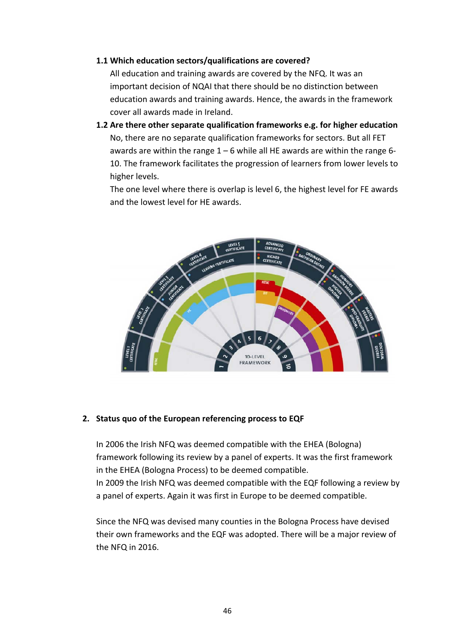#### **1.1 Which education sectors/qualifications are covered?**

All education and training awards are covered by the NFQ. It was an important decision of NQAI that there should be no distinction between education awards and training awards. Hence, the awards in the framework cover all awards made in Ireland.

**1.2 Are there other separate qualification frameworks e.g. for higher education**  No, there are no separate qualification frameworks for sectors. But all FET awards are within the range  $1 - 6$  while all HE awards are within the range 6-10. The framework facilitates the progression of learners from lower levels to higher levels.

The one level where there is overlap is level 6, the highest level for FE awards and the lowest level for HE awards.



#### **2. Status quo of the European referencing process to EQF**

In 2006 the Irish NFQ was deemed compatible with the EHEA (Bologna) framework following its review by a panel of experts. It was the first framework in the EHEA (Bologna Process) to be deemed compatible. In 2009 the Irish NFQ was deemed compatible with the EQF following a review by a panel of experts. Again it was first in Europe to be deemed compatible.

Since the NFQ was devised many counties in the Bologna Process have devised their own frameworks and the EQF was adopted. There will be a major review of the NFQ in 2016.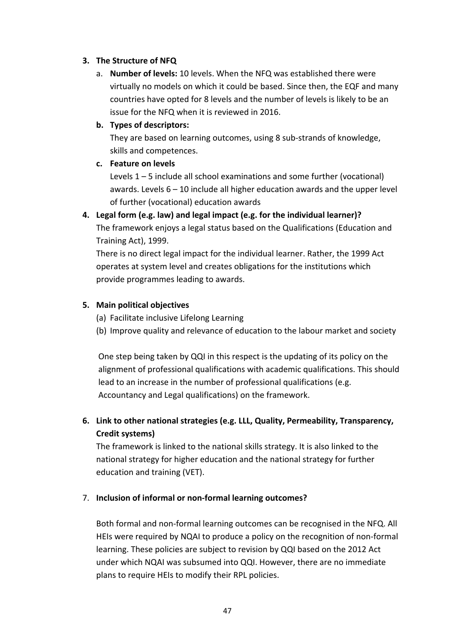#### **3. The Structure of NFQ**

a. **Number of levels:** 10 levels. When the NFQ was established there were virtually no models on which it could be based. Since then, the EQF and many countries have opted for 8 levels and the number of levels is likely to be an issue for the NFQ when it is reviewed in 2016.

#### **b. Types of descriptors:**

They are based on learning outcomes, using 8 sub‐strands of knowledge, skills and competences.

#### **c. Feature on levels**

Levels 1 – 5 include all school examinations and some further (vocational) awards. Levels 6 – 10 include all higher education awards and the upper level of further (vocational) education awards

#### **4. Legal form (e.g. law) and legal impact (e.g. for the individual learner)?**

The framework enjoys a legal status based on the Qualifications (Education and Training Act), 1999.

There is no direct legal impact for the individual learner. Rather, the 1999 Act operates at system level and creates obligations for the institutions which provide programmes leading to awards.

#### **5. Main political objectives**

- (a) Facilitate inclusive Lifelong Learning
- (b) Improve quality and relevance of education to the labour market and society

One step being taken by QQI in this respect is the updating of its policy on the alignment of professional qualifications with academic qualifications. This should lead to an increase in the number of professional qualifications (e.g. Accountancy and Legal qualifications) on the framework.

#### **6. Link to other national strategies (e.g. LLL, Quality, Permeability, Transparency, Credit systems)**

The framework is linked to the national skills strategy. It is also linked to the national strategy for higher education and the national strategy for further education and training (VET).

#### 7. **Inclusion of informal or non‐formal learning outcomes?**

Both formal and non‐formal learning outcomes can be recognised in the NFQ. All HEIs were required by NQAI to produce a policy on the recognition of non‐formal learning. These policies are subject to revision by QQI based on the 2012 Act under which NQAI was subsumed into QQI. However, there are no immediate plans to require HEIs to modify their RPL policies.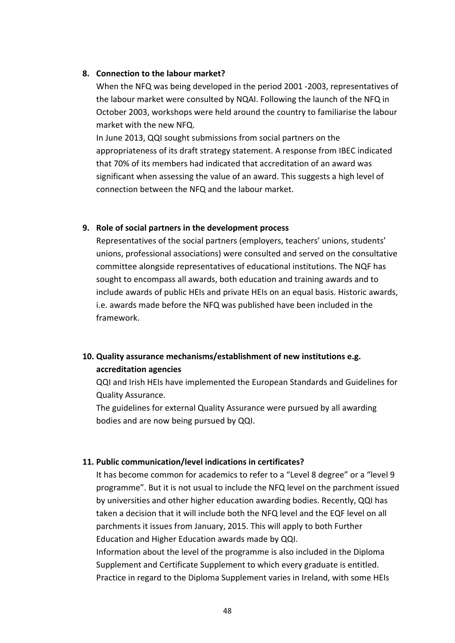#### **8. Connection to the labour market?**

When the NFQ was being developed in the period 2001 ‐2003, representatives of the labour market were consulted by NQAI. Following the launch of the NFQ in October 2003, workshops were held around the country to familiarise the labour market with the new NFQ.

In June 2013, QQI sought submissions from social partners on the appropriateness of its draft strategy statement. A response from IBEC indicated that 70% of its members had indicated that accreditation of an award was significant when assessing the value of an award. This suggests a high level of connection between the NFQ and the labour market.

#### **9. Role of social partners in the development process**

Representatives of the social partners (employers, teachers' unions, students' unions, professional associations) were consulted and served on the consultative committee alongside representatives of educational institutions. The NQF has sought to encompass all awards, both education and training awards and to include awards of public HEIs and private HEIs on an equal basis. Historic awards, i.e. awards made before the NFQ was published have been included in the framework.

#### **10. Quality assurance mechanisms/establishment of new institutions e.g. accreditation agencies**

QQI and Irish HEIs have implemented the European Standards and Guidelines for Quality Assurance.

The guidelines for external Quality Assurance were pursued by all awarding bodies and are now being pursued by QQI.

#### **11. Public communication/level indications in certificates?**

It has become common for academics to refer to a "Level 8 degree" or a "level 9 programme". But it is not usual to include the NFQ level on the parchment issued by universities and other higher education awarding bodies. Recently, QQI has taken a decision that it will include both the NFQ level and the EQF level on all parchments it issues from January, 2015. This will apply to both Further Education and Higher Education awards made by QQI. Information about the level of the programme is also included in the Diploma Supplement and Certificate Supplement to which every graduate is entitled.

Practice in regard to the Diploma Supplement varies in Ireland, with some HEIs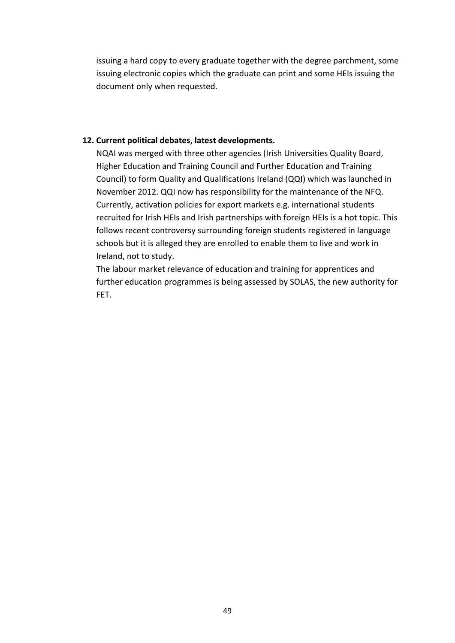issuing a hard copy to every graduate together with the degree parchment, some issuing electronic copies which the graduate can print and some HEIs issuing the document only when requested.

#### **12. Current political debates, latest developments.**

NQAI was merged with three other agencies (Irish Universities Quality Board, Higher Education and Training Council and Further Education and Training Council) to form Quality and Qualifications Ireland (QQI) which was launched in November 2012. QQI now has responsibility for the maintenance of the NFQ. Currently, activation policies for export markets e.g. international students recruited for Irish HEIs and Irish partnerships with foreign HEIs is a hot topic. This follows recent controversy surrounding foreign students registered in language schools but it is alleged they are enrolled to enable them to live and work in Ireland, not to study.

The labour market relevance of education and training for apprentices and further education programmes is being assessed by SOLAS, the new authority for FET.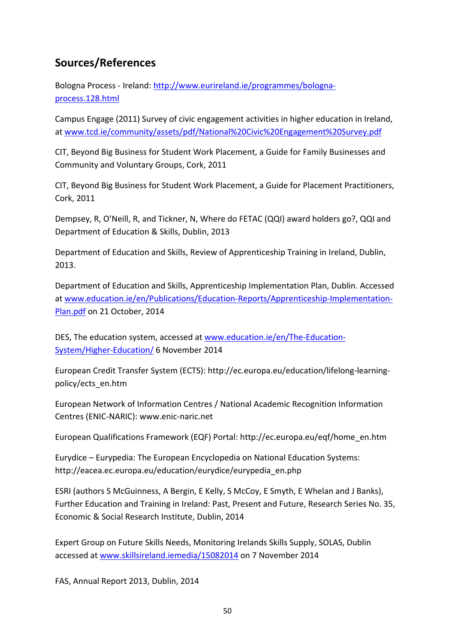### **Sources/References**

Bologna Process ‐ Ireland: http://www.eurireland.ie/programmes/bologna‐ process.128.html

Campus Engage (2011) Survey of civic engagement activities in higher education in Ireland, at www.tcd.ie/community/assets/pdf/National%20Civic%20Engagement%20Survey.pdf

CIT, Beyond Big Business for Student Work Placement, a Guide for Family Businesses and Community and Voluntary Groups, Cork, 2011

CIT, Beyond Big Business for Student Work Placement, a Guide for Placement Practitioners, Cork, 2011

Dempsey, R, O'Neill, R, and Tickner, N, Where do FETAC (QQI) award holders go?, QQI and Department of Education & Skills, Dublin, 2013

Department of Education and Skills, Review of Apprenticeship Training in Ireland, Dublin, 2013.

Department of Education and Skills, Apprenticeship Implementation Plan, Dublin. Accessed at www.education.ie/en/Publications/Education‐Reports/Apprenticeship‐Implementation‐ Plan.pdf on 21 October, 2014

DES, The education system, accessed at www.education.ie/en/The-Education-System/Higher‐Education/ 6 November 2014

European Credit Transfer System (ECTS): http://ec.europa.eu/education/lifelong‐learning‐ policy/ects\_en.htm

European Network of Information Centres / National Academic Recognition Information Centres (ENIC‐NARIC): www.enic‐naric.net

European Qualifications Framework (EQF) Portal: http://ec.europa.eu/eqf/home\_en.htm

Eurydice – Eurypedia: The European Encyclopedia on National Education Systems: http://eacea.ec.europa.eu/education/eurydice/eurypedia\_en.php

ESRI (authors S McGuinness, A Bergin, E Kelly, S McCoy, E Smyth, E Whelan and J Banks), Further Education and Training in Ireland: Past, Present and Future, Research Series No. 35, Economic & Social Research Institute, Dublin, 2014

Expert Group on Future Skills Needs, Monitoring Irelands Skills Supply, SOLAS, Dublin accessed at www.skillsireland.iemedia/15082014 on 7 November 2014

FAS, Annual Report 2013, Dublin, 2014